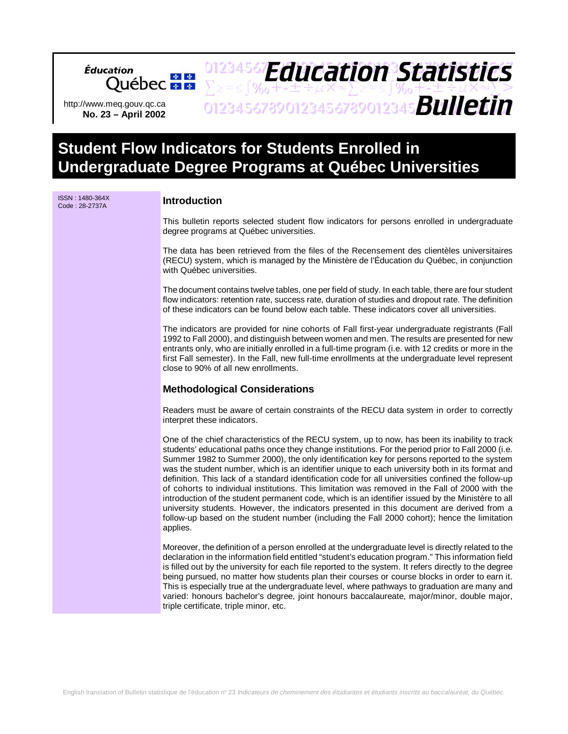http://www.meq.gouv.qc.ca **No. 23 – April 2002**

Québec **\*** \*

Éducation

# **Student Flow Indicators for Students Enrolled in Undergraduate Degree Programs at Québec Universities**

01234567Fduration3Statictics

**Education Statistics** 

 $\sum z \approx 5$  %  $\sqrt{1 + \pm \div \mu \times \infty}$   $\sqrt{2 \times 5}$  %  $\sqrt{1 + \pm \div \mu \times \infty}$  > ZZYSTWOTHERAWZZYSTWOTHERAAD

| ISSN: 1480-364X<br>Code: 28-2737A | <b>Introduction</b>                                                                                                                                                                                                                                                                                                                                                                                                                                                                                                                                                                                                                                                                                                                                                                                                                                                                                                              |
|-----------------------------------|----------------------------------------------------------------------------------------------------------------------------------------------------------------------------------------------------------------------------------------------------------------------------------------------------------------------------------------------------------------------------------------------------------------------------------------------------------------------------------------------------------------------------------------------------------------------------------------------------------------------------------------------------------------------------------------------------------------------------------------------------------------------------------------------------------------------------------------------------------------------------------------------------------------------------------|
|                                   | This bulletin reports selected student flow indicators for persons enrolled in undergraduate<br>degree programs at Québec universities.                                                                                                                                                                                                                                                                                                                                                                                                                                                                                                                                                                                                                                                                                                                                                                                          |
|                                   | The data has been retrieved from the files of the Recensement des clientèles universitaires<br>(RECU) system, which is managed by the Ministère de l'Éducation du Québec, in conjunction<br>with Québec universities.                                                                                                                                                                                                                                                                                                                                                                                                                                                                                                                                                                                                                                                                                                            |
|                                   | The document contains twelve tables, one per field of study. In each table, there are four student<br>flow indicators: retention rate, success rate, duration of studies and dropout rate. The definition<br>of these indicators can be found below each table. These indicators cover all universities.                                                                                                                                                                                                                                                                                                                                                                                                                                                                                                                                                                                                                         |
|                                   | The indicators are provided for nine cohorts of Fall first-year undergraduate registrants (Fall<br>1992 to Fall 2000), and distinguish between women and men. The results are presented for new<br>entrants only, who are initially enrolled in a full-time program (i.e. with 12 credits or more in the<br>first Fall semester). In the Fall, new full-time enrollments at the undergraduate level represent<br>close to 90% of all new enrollments.                                                                                                                                                                                                                                                                                                                                                                                                                                                                            |
|                                   | <b>Methodological Considerations</b>                                                                                                                                                                                                                                                                                                                                                                                                                                                                                                                                                                                                                                                                                                                                                                                                                                                                                             |
|                                   | Readers must be aware of certain constraints of the RECU data system in order to correctly<br>interpret these indicators.                                                                                                                                                                                                                                                                                                                                                                                                                                                                                                                                                                                                                                                                                                                                                                                                        |
|                                   | One of the chief characteristics of the RECU system, up to now, has been its inability to track<br>students' educational paths once they change institutions. For the period prior to Fall 2000 (i.e.<br>Summer 1982 to Summer 2000), the only identification key for persons reported to the system<br>was the student number, which is an identifier unique to each university both in its format and<br>definition. This lack of a standard identification code for all universities confined the follow-up<br>of cohorts to individual institutions. This limitation was removed in the Fall of 2000 with the<br>introduction of the student permanent code, which is an identifier issued by the Ministère to all<br>university students. However, the indicators presented in this document are derived from a<br>follow-up based on the student number (including the Fall 2000 cohort); hence the limitation<br>applies. |
|                                   | Moreover, the definition of a person enrolled at the undergraduate level is directly related to the<br>declaration in the information field entitled "student's education program." This information field<br>is filled out by the university for each file reported to the system. It refers directly to the degree<br>being pursued, no matter how students plan their courses or course blocks in order to earn it.<br>This is especially true at the undergraduate level, where pathways to graduation are many and<br>varied: honours bachelor's degree, joint honours baccalaureate, major/minor, double major,<br>triple certificate, triple minor, etc.                                                                                                                                                                                                                                                                  |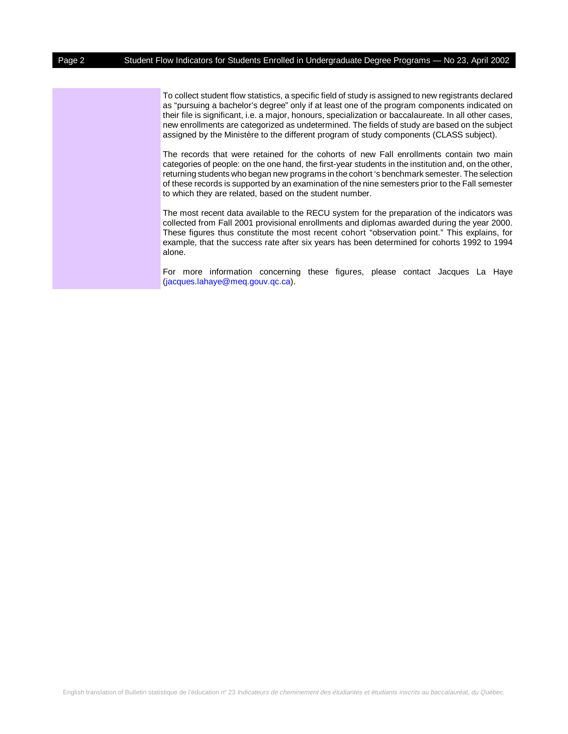Page 2 Student Flow Indicators for Students Enrolled in Undergraduate Degree Programs — No 23, April 2002

To collect student flow statistics, a specific field of study is assigned to new registrants declared as "pursuing a bachelor's degree" only if at least one of the program components indicated on their file is significant, i.e. a major, honours, specialization or baccalaureate. In all other cases, new enrollments are categorized as undetermined. The fields of study are based on the subject assigned by the Ministère to the different program of study components (CLASS subject).

The records that were retained for the cohorts of new Fall enrollments contain two main categories of people: on the one hand, the first-year students in the institution and, on the other, returning students who began new programs in the cohort 's benchmark semester. The selection of these records is supported by an examination of the nine semesters prior to the Fall semester to which they are related, based on the student number.

The most recent data available to the RECU system for the preparation of the indicators was collected from Fall 2001 provisional enrollments and diplomas awarded during the year 2000. These figures thus constitute the most recent cohort "observation point." This explains, for example, that the success rate after six years has been determined for cohorts 1992 to 1994 alone.

For more information concerning these figures, please contact Jacques La Haye (jacques.lahaye@meq.gouv.qc.ca).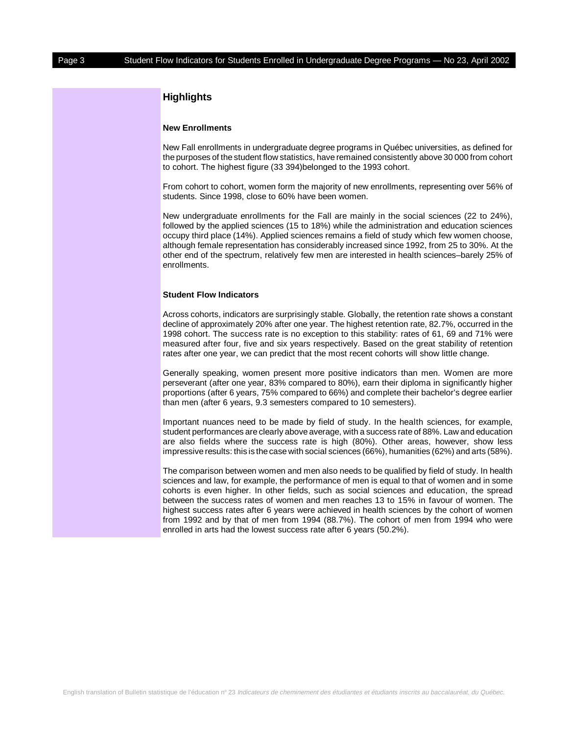# **Highlights**

### **New Enrollments**

New Fall enrollments in undergraduate degree programs in Québec universities, as defined for the purposes of the student flow statistics, have remained consistently above 30 000 from cohort to cohort. The highest figure (33 394)belonged to the 1993 cohort.

From cohort to cohort, women form the majority of new enrollments, representing over 56% of students. Since 1998, close to 60% have been women.

New undergraduate enrollments for the Fall are mainly in the social sciences (22 to 24%), followed by the applied sciences (15 to 18%) while the administration and education sciences occupy third place (14%). Applied sciences remains a field of study which few women choose, although female representation has considerably increased since 1992, from 25 to 30%. At the other end of the spectrum, relatively few men are interested in health sciences–barely 25% of enrollments.

### **Student Flow Indicators**

Across cohorts, indicators are surprisingly stable. Globally, the retention rate shows a constant decline of approximately 20% after one year. The highest retention rate, 82.7%, occurred in the 1998 cohort. The success rate is no exception to this stability: rates of 61, 69 and 71% were measured after four, five and six years respectively. Based on the great stability of retention rates after one year, we can predict that the most recent cohorts will show little change.

Generally speaking, women present more positive indicators than men. Women are more perseverant (after one year, 83% compared to 80%), earn their diploma in significantly higher proportions (after 6 years, 75% compared to 66%) and complete their bachelor's degree earlier than men (after 6 years, 9.3 semesters compared to 10 semesters).

Important nuances need to be made by field of study. In the health sciences, for example, student performances are clearly above average, with a success rate of 88%. Law and education are also fields where the success rate is high (80%). Other areas, however, show less impressive results: this is the case with social sciences (66%), humanities (62%) and arts (58%).

The comparison between women and men also needs to be qualified by field of study. In health sciences and law, for example, the performance of men is equal to that of women and in some cohorts is even higher. In other fields, such as social sciences and education, the spread between the success rates of women and men reaches 13 to 15% in favour of women. The highest success rates after 6 years were achieved in health sciences by the cohort of women from 1992 and by that of men from 1994 (88.7%). The cohort of men from 1994 who were enrolled in arts had the lowest success rate after 6 years (50.2%).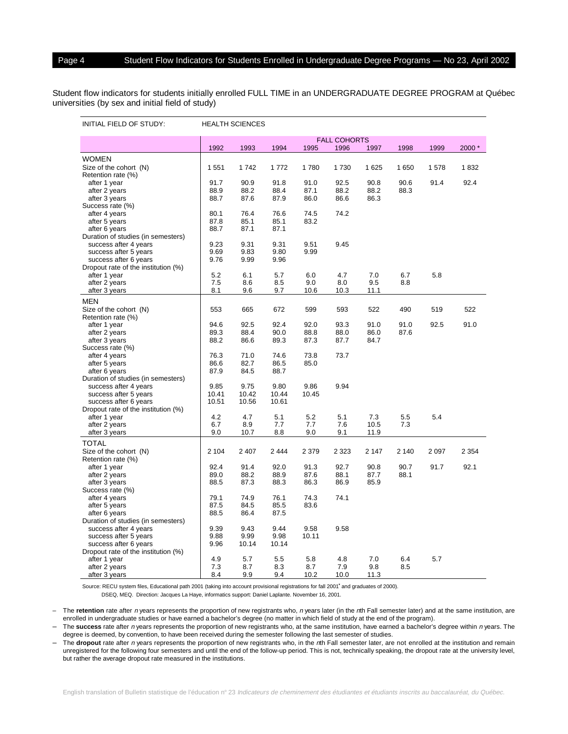| <b>FALL COHORTS</b><br>1992<br>1993<br>1994<br>1995<br>1996<br>1997<br>1998<br>1999<br>2000*                                           |  |
|----------------------------------------------------------------------------------------------------------------------------------------|--|
|                                                                                                                                        |  |
|                                                                                                                                        |  |
| <b>WOMEN</b>                                                                                                                           |  |
| Size of the cohort (N)<br>1551<br>1742<br>1772<br>1780<br>1730<br>1625<br>1832<br>1650<br>1578                                         |  |
| Retention rate (%)                                                                                                                     |  |
| 92.4<br>91.7<br>90.9<br>91.8<br>91.0<br>92.5<br>90.8<br>90.6<br>91.4<br>after 1 year                                                   |  |
| 88.9<br>88.2<br>88.4<br>87.1<br>88.2<br>88.2<br>88.3<br>after 2 years                                                                  |  |
| 88.7<br>87.6<br>87.9<br>86.6<br>86.3<br>86.0<br>after 3 years                                                                          |  |
| Success rate (%)                                                                                                                       |  |
| 76.4<br>76.6<br>74.2<br>after 4 years<br>80.1<br>74.5<br>83.2<br>87.8<br>85.1<br>85.1                                                  |  |
| after 5 years<br>88.7<br>87.1<br>87.1<br>after 6 years                                                                                 |  |
| Duration of studies (in semesters)                                                                                                     |  |
| 9.23<br>9.31<br>9.31<br>9.51<br>success after 4 years<br>9.45                                                                          |  |
| 9.69<br>9.83<br>9.80<br>9.99<br>success after 5 years                                                                                  |  |
| 9.76<br>9.99<br>9.96<br>success after 6 years                                                                                          |  |
| Dropout rate of the institution (%)                                                                                                    |  |
| 5.2<br>6.1<br>5.7<br>6.0<br>4.7<br>7.0<br>6.7<br>5.8<br>after 1 year                                                                   |  |
| 7.5<br>8.6<br>8.5<br>9.0<br>8.0<br>9.5<br>8.8<br>after 2 years                                                                         |  |
| 8.1<br>9.6<br>11.1<br>9.7<br>10.6<br>10.3<br>after 3 years                                                                             |  |
| <b>MEN</b>                                                                                                                             |  |
| 599<br>593<br>553<br>665<br>672<br>522<br>490<br>519<br>522<br>Size of the cohort (N)                                                  |  |
| Retention rate (%)                                                                                                                     |  |
| 92.4<br>92.0<br>92.5<br>91.0<br>94.6<br>92.5<br>93.3<br>91.0<br>91.0<br>after 1 year                                                   |  |
| 89.3<br>90.0<br>88.8<br>88.0<br>after 2 years<br>88.4<br>86.0<br>87.6                                                                  |  |
| after 3 years<br>88.2<br>86.6<br>89.3<br>87.3<br>87.7<br>84.7<br>Success rate (%)                                                      |  |
| 71.0<br>74.6<br>73.8<br>73.7<br>after 4 years<br>76.3                                                                                  |  |
| after 5 years<br>86.6<br>82.7<br>86.5<br>85.0                                                                                          |  |
| 84.5<br>after 6 years<br>87.9<br>88.7                                                                                                  |  |
| Duration of studies (in semesters)                                                                                                     |  |
| 9.94<br>9.85<br>9.75<br>9.80<br>9.86<br>success after 4 years                                                                          |  |
| 10.41<br>10.42<br>10.44<br>10.45<br>success after 5 years                                                                              |  |
| 10.51<br>10.56<br>10.61<br>success after 6 years                                                                                       |  |
| Dropout rate of the institution (%)                                                                                                    |  |
| 4.2<br>4.7<br>5.5<br>5.4<br>5.1<br>5.2<br>5.1<br>7.3<br>after 1 year                                                                   |  |
| 6.7<br>8.9<br>7.7<br>7.7<br>7.6<br>10.5<br>7.3<br>after 2 years<br>9.0                                                                 |  |
| 10.7<br>8.8<br>9.0<br>9.1<br>11.9<br>after 3 years                                                                                     |  |
| <b>TOTAL</b>                                                                                                                           |  |
| 2 1 0 4<br>Size of the cohort (N)<br>2 4 0 7<br>2444<br>2 3 7 9<br>2 3 2 3<br>2 1 4 7<br>2 1 4 0<br>2 0 9 7<br>2 3 5 4                 |  |
| Retention rate (%)<br>92.4<br>92.0<br>91.3<br>92.7<br>92.1                                                                             |  |
| 91.7<br>after 1 year<br>91.4<br>90.8<br>90.7<br>89.0<br>88.2<br>88.9<br>87.6<br>88.1<br>87.7<br>88.1<br>after 2 years                  |  |
| 85.9<br>after 3 years<br>88.5<br>87.3<br>88.3<br>86.3<br>86.9                                                                          |  |
| Success rate (%)                                                                                                                       |  |
| 79.1<br>74.9<br>76.1<br>74.3<br>74.1<br>after 4 years                                                                                  |  |
| 87.5<br>84.5<br>85.5<br>83.6<br>after 5 years                                                                                          |  |
| 88.5<br>86.4<br>87.5<br>after 6 years                                                                                                  |  |
| Duration of studies (in semesters)                                                                                                     |  |
| success after 4 years<br>9.39<br>9.43<br>9.44<br>9.58<br>9.58                                                                          |  |
| 9.88<br>success after 5 years<br>9.99<br>9.98<br>10.11                                                                                 |  |
| success after 6 years<br>9.96<br>10.14<br>10.14                                                                                        |  |
| Dropout rate of the institution (%)                                                                                                    |  |
| after 1 year<br>4.9<br>5.7<br>5.5<br>5.8<br>4.8<br>7.0<br>6.4<br>5.7<br>7.3<br>after 2 years<br>8.7<br>8.3<br>8.7<br>7.9<br>9.8<br>8.5 |  |
| after 3 years<br>8.4<br>9.9<br>9.4<br>10.2<br>10.0<br>11.3                                                                             |  |

Source: RECU system files, Educational path 2001 (taking into account provisional registrations for fall 2001**\*** and graduates of 2000).

DSEQ, MEQ. Direction: Jacques La Haye, informatics support: Daniel Laplante. November 16, 2001.

– The **retention** rate after <sup>n</sup> years represents the proportion of new registrants who, <sup>n</sup> years later (in the nth Fall semester later) and at the same institution, are enrolled in undergraduate studies or have earned a bachelor's degree (no matter in which field of study at the end of the program).

The **success** rate after n years represents the proportion of new registrants who, at the same institution, have earned a bachelor's degree within n years. The degree is deemed, by convention, to have been received during the semester following the last semester of studies.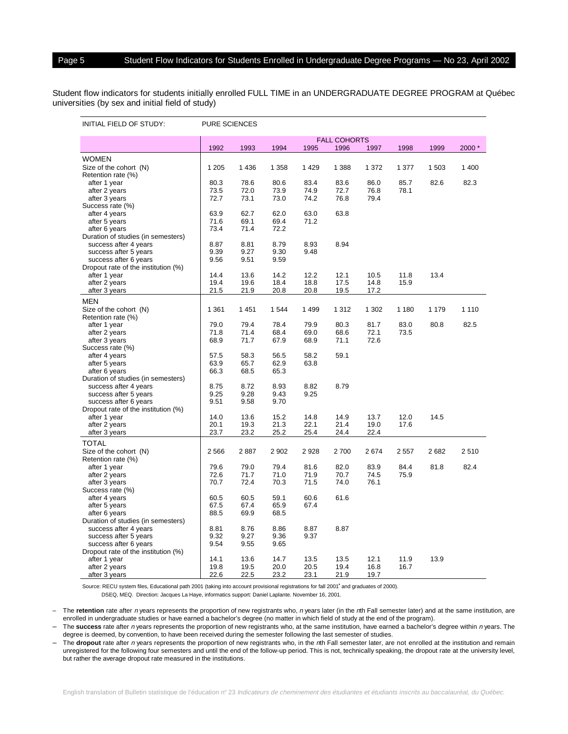| INITIAL FIELD OF STUDY:                                     | <b>PURE SCIENCES</b> |              |         |              |                     |              |              |         |         |
|-------------------------------------------------------------|----------------------|--------------|---------|--------------|---------------------|--------------|--------------|---------|---------|
|                                                             |                      |              |         |              | <b>FALL COHORTS</b> |              |              |         |         |
|                                                             | 1992                 | 1993         | 1994    | 1995         | 1996                | 1997         | 1998         | 1999    | 2000*   |
| <b>WOMEN</b>                                                |                      |              |         |              |                     |              |              |         |         |
| Size of the cohort (N)                                      | 1 2 0 5              | 1436         | 1 3 5 8 | 1 4 2 9      | 1 3 8 8             | 1 3 7 2      | 1 377        | 1 503   | 1400    |
| Retention rate (%)                                          |                      |              |         |              |                     |              |              |         |         |
| after 1 year                                                | 80.3                 | 78.6         | 80.6    | 83.4         | 83.6                | 86.0         | 85.7         | 82.6    | 82.3    |
| after 2 years                                               | 73.5                 | 72.0         | 73.9    | 74.9         | 72.7                | 76.8         | 78.1         |         |         |
| after 3 years                                               | 72.7                 | 73.1         | 73.0    | 74.2         | 76.8                | 79.4         |              |         |         |
| Success rate (%)                                            |                      |              |         |              |                     |              |              |         |         |
| after 4 years                                               | 63.9                 | 62.7         | 62.0    | 63.0         | 63.8                |              |              |         |         |
| after 5 years                                               | 71.6                 | 69.1         | 69.4    | 71.2         |                     |              |              |         |         |
| after 6 years                                               | 73.4                 | 71.4         | 72.2    |              |                     |              |              |         |         |
| Duration of studies (in semesters)                          |                      |              |         |              |                     |              |              |         |         |
| success after 4 years                                       | 8.87                 | 8.81         | 8.79    | 8.93         | 8.94                |              |              |         |         |
| success after 5 years                                       | 9.39                 | 9.27         | 9.30    | 9.48         |                     |              |              |         |         |
| success after 6 years                                       | 9.56                 | 9.51         | 9.59    |              |                     |              |              |         |         |
| Dropout rate of the institution (%)                         | 14.4                 |              | 14.2    |              |                     | 10.5         |              | 13.4    |         |
| after 1 year                                                |                      | 13.6         | 18.4    | 12.2<br>18.8 | 12.1<br>17.5        |              | 11.8<br>15.9 |         |         |
| after 2 years                                               | 19.4<br>21.5         | 19.6<br>21.9 | 20.8    | 20.8         | 19.5                | 14.8<br>17.2 |              |         |         |
| after 3 years                                               |                      |              |         |              |                     |              |              |         |         |
| MEN                                                         |                      |              |         |              |                     |              |              |         |         |
| Size of the cohort (N)                                      | 1 3 6 1              | 1451         | 1 5 4 4 | 1499         | 1 3 1 2             | 1 3 0 2      | 1 1 8 0      | 1 1 7 9 | 1 1 1 0 |
| Retention rate (%)                                          |                      |              |         |              |                     |              |              |         |         |
| after 1 year                                                | 79.0                 | 79.4         | 78.4    | 79.9         | 80.3                | 81.7         | 83.0         | 80.8    | 82.5    |
| after 2 years                                               | 71.8                 | 71.4         | 68.4    | 69.0         | 68.6                | 72.1         | 73.5         |         |         |
| after 3 years                                               | 68.9                 | 71.7         | 67.9    | 68.9         | 71.1                | 72.6         |              |         |         |
| Success rate (%)                                            |                      |              |         |              |                     |              |              |         |         |
| after 4 years                                               | 57.5                 | 58.3         | 56.5    | 58.2         | 59.1                |              |              |         |         |
| after 5 years                                               | 63.9                 | 65.7         | 62.9    | 63.8         |                     |              |              |         |         |
| after 6 years                                               | 66.3                 | 68.5         | 65.3    |              |                     |              |              |         |         |
| Duration of studies (in semesters)<br>success after 4 years | 8.75                 | 8.72         | 8.93    | 8.82         | 8.79                |              |              |         |         |
| success after 5 years                                       | 9.25                 | 9.28         | 9.43    | 9.25         |                     |              |              |         |         |
| success after 6 years                                       | 9.51                 | 9.58         | 9.70    |              |                     |              |              |         |         |
| Dropout rate of the institution (%)                         |                      |              |         |              |                     |              |              |         |         |
| after 1 year                                                | 14.0                 | 13.6         | 15.2    | 14.8         | 14.9                | 13.7         | 12.0         | 14.5    |         |
| after 2 years                                               | 20.1                 | 19.3         | 21.3    | 22.1         | 21.4                | 19.0         | 17.6         |         |         |
| after 3 years                                               | 23.7                 | 23.2         | 25.2    | 25.4         | 24.4                | 22.4         |              |         |         |
|                                                             |                      |              |         |              |                     |              |              |         |         |
| <b>TOTAL</b>                                                |                      |              |         |              |                     |              |              |         |         |
| Size of the cohort (N)                                      | 2566                 | 2887         | 2 9 0 2 | 2928         | 2700                | 2674         | 2557         | 2682    | 2510    |
| Retention rate (%)                                          | 79.6                 | 79.0         | 79.4    | 81.6         | 82.0                | 83.9         | 84.4         | 81.8    | 82.4    |
| after 1 year                                                | 72.6                 | 71.7         | 71.0    | 71.9         | 70.7                | 74.5         | 75.9         |         |         |
| after 2 years<br>after 3 years                              | 70.7                 | 72.4         | 70.3    | 71.5         | 74.0                | 76.1         |              |         |         |
| Success rate (%)                                            |                      |              |         |              |                     |              |              |         |         |
| after 4 years                                               | 60.5                 | 60.5         | 59.1    | 60.6         | 61.6                |              |              |         |         |
| after 5 years                                               | 67.5                 | 67.4         | 65.9    | 67.4         |                     |              |              |         |         |
| after 6 years                                               | 88.5                 | 69.9         | 68.5    |              |                     |              |              |         |         |
| Duration of studies (in semesters)                          |                      |              |         |              |                     |              |              |         |         |
| success after 4 years                                       | 8.81                 | 8.76         | 8.86    | 8.87         | 8.87                |              |              |         |         |
| success after 5 years                                       | 9.32                 | 9.27         | 9.36    | 9.37         |                     |              |              |         |         |
| success after 6 years                                       | 9.54                 | 9.55         | 9.65    |              |                     |              |              |         |         |
| Dropout rate of the institution (%)                         |                      |              |         |              |                     |              |              |         |         |
| after 1 year                                                | 14.1                 | 13.6         | 14.7    | 13.5         | 13.5                | 12.1         | 11.9         | 13.9    |         |
| after 2 years                                               | 19.8                 | 19.5         | 20.0    | 20.5         | 19.4                | 16.8         | 16.7         |         |         |
| after 3 years                                               | 22.6                 | 22.5         | 23.2    | 23.1         | 21.9                | 19.7         |              |         |         |

Source: RECU system files, Educational path 2001 (taking into account provisional registrations for fall 2001**\*** and graduates of 2000).

DSEQ, MEQ. Direction: Jacques La Haye, informatics support: Daniel Laplante. November 16, 2001.

– The **retention** rate after <sup>n</sup> years represents the proportion of new registrants who, <sup>n</sup> years later (in the nth Fall semester later) and at the same institution, are enrolled in undergraduate studies or have earned a bachelor's degree (no matter in which field of study at the end of the program).

The **success** rate after n years represents the proportion of new registrants who, at the same institution, have earned a bachelor's degree within n years. The degree is deemed, by convention, to have been received during the semester following the last semester of studies.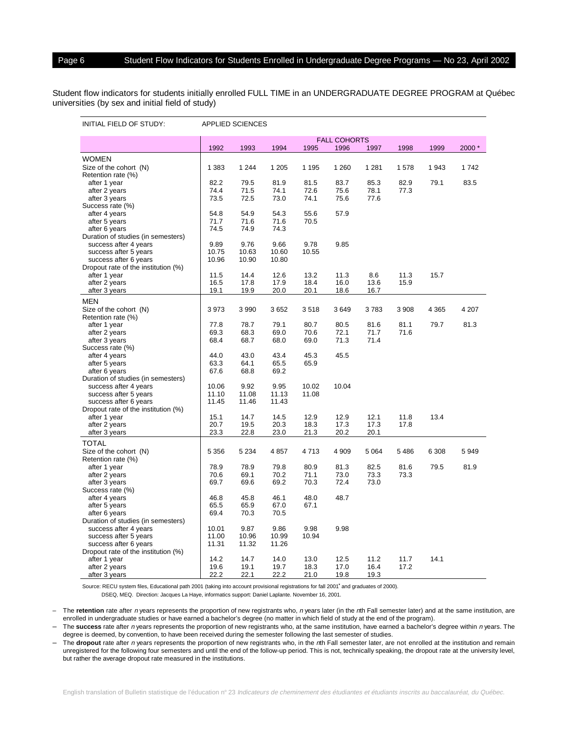| INITIAL FIELD OF STUDY:                        |              | <b>APPLIED SCIENCES</b> |              |         |                     |              |              |         |       |
|------------------------------------------------|--------------|-------------------------|--------------|---------|---------------------|--------------|--------------|---------|-------|
|                                                |              |                         |              |         | <b>FALL COHORTS</b> |              |              |         |       |
|                                                | 1992         | 1993                    | 1994         | 1995    | 1996                | 1997         | 1998         | 1999    | 2000* |
| <b>WOMEN</b>                                   |              |                         |              |         |                     |              |              |         |       |
| Size of the cohort (N)                         | 1 3 8 3      | 1 2 4 4                 | 1 2 0 5      | 1 1 9 5 | 1 2 6 0             | 1 2 8 1      | 1578         | 1943    | 1742  |
| Retention rate (%)                             |              |                         |              |         |                     |              |              |         |       |
| after 1 year                                   | 82.2         | 79.5                    | 81.9         | 81.5    | 83.7                | 85.3         | 82.9         | 79.1    | 83.5  |
| after 2 years                                  | 74.4         | 71.5                    | 74.1         | 72.6    | 75.6                | 78.1         | 77.3         |         |       |
| after 3 years                                  | 73.5         | 72.5                    | 73.0         | 74.1    | 75.6                | 77.6         |              |         |       |
| Success rate (%)                               |              |                         |              |         |                     |              |              |         |       |
| after 4 years                                  | 54.8         | 54.9                    | 54.3         | 55.6    | 57.9                |              |              |         |       |
| after 5 years                                  | 71.7         | 71.6                    | 71.6         | 70.5    |                     |              |              |         |       |
| after 6 years                                  | 74.5         | 74.9                    | 74.3         |         |                     |              |              |         |       |
| Duration of studies (in semesters)             |              |                         |              |         |                     |              |              |         |       |
| success after 4 years                          | 9.89         | 9.76                    | 9.66         | 9.78    | 9.85                |              |              |         |       |
| success after 5 years                          | 10.75        | 10.63                   | 10.60        | 10.55   |                     |              |              |         |       |
| success after 6 years                          | 10.96        | 10.90                   | 10.80        |         |                     |              |              |         |       |
| Dropout rate of the institution (%)            | 11.5         | 14.4                    | 12.6         | 13.2    | 11.3                | 8.6          |              | 15.7    |       |
| after 1 year                                   |              |                         |              | 18.4    | 16.0                |              | 11.3<br>15.9 |         |       |
| after 2 years                                  | 16.5<br>19.1 | 17.8<br>19.9            | 17.9<br>20.0 | 20.1    | 18.6                | 13.6<br>16.7 |              |         |       |
| after 3 years                                  |              |                         |              |         |                     |              |              |         |       |
| <b>MEN</b>                                     |              |                         |              |         |                     |              |              |         |       |
| Size of the cohort (N)                         | 3973         | 3990                    | 3652         | 3518    | 3649                | 3783         | 3 9 0 8      | 4 3 6 5 | 4 207 |
| Retention rate (%)                             |              |                         |              |         |                     |              |              |         |       |
| after 1 year                                   | 77.8         | 78.7                    | 79.1         | 80.7    | 80.5                | 81.6         | 81.1         | 79.7    | 81.3  |
| after 2 years                                  | 69.3         | 68.3                    | 69.0         | 70.6    | 72.1                | 71.7         | 71.6         |         |       |
| after 3 years                                  | 68.4         | 68.7                    | 68.0         | 69.0    | 71.3                | 71.4         |              |         |       |
| Success rate (%)                               |              |                         |              |         |                     |              |              |         |       |
| after 4 years                                  | 44.0         | 43.0                    | 43.4         | 45.3    | 45.5                |              |              |         |       |
| after 5 years                                  | 63.3<br>67.6 | 64.1<br>68.8            | 65.5<br>69.2 | 65.9    |                     |              |              |         |       |
| after 6 years                                  |              |                         |              |         |                     |              |              |         |       |
| Duration of studies (in semesters)             | 10.06        | 9.92                    | 9.95         | 10.02   | 10.04               |              |              |         |       |
| success after 4 years<br>success after 5 years | 11.10        | 11.08                   | 11.13        | 11.08   |                     |              |              |         |       |
| success after 6 years                          | 11.45        | 11.46                   | 11.43        |         |                     |              |              |         |       |
| Dropout rate of the institution (%)            |              |                         |              |         |                     |              |              |         |       |
| after 1 year                                   | 15.1         | 14.7                    | 14.5         | 12.9    | 12.9                | 12.1         | 11.8         | 13.4    |       |
| after 2 years                                  | 20.7         | 19.5                    | 20.3         | 18.3    | 17.3                | 17.3         | 17.8         |         |       |
| after 3 years                                  | 23.3         | 22.8                    | 23.0         | 21.3    | 20.2                | 20.1         |              |         |       |
| <b>TOTAL</b>                                   |              |                         |              |         |                     |              |              |         |       |
| Size of the cohort (N)                         | 5 3 5 6      | 5 2 3 4                 | 4857         | 4713    | 4 9 0 9             | 5 0 6 4      | 5486         | 6 3 0 8 | 5949  |
| Retention rate (%)                             |              |                         |              |         |                     |              |              |         |       |
| after 1 year                                   | 78.9         | 78.9                    | 79.8         | 80.9    | 81.3                | 82.5         | 81.6         | 79.5    | 81.9  |
| after 2 years                                  | 70.6         | 69.1                    | 70.2         | 71.1    | 73.0                | 73.3         | 73.3         |         |       |
| after 3 years                                  | 69.7         | 69.6                    | 69.2         | 70.3    | 72.4                | 73.0         |              |         |       |
| Success rate (%)                               |              |                         |              |         |                     |              |              |         |       |
| after 4 years                                  | 46.8         | 45.8                    | 46.1         | 48.0    | 48.7                |              |              |         |       |
| after 5 years                                  | 65.5         | 65.9                    | 67.0         | 67.1    |                     |              |              |         |       |
| after 6 years                                  | 69.4         | 70.3                    | 70.5         |         |                     |              |              |         |       |
| Duration of studies (in semesters)             |              |                         |              |         |                     |              |              |         |       |
| success after 4 years                          | 10.01        | 9.87                    | 9.86         | 9.98    | 9.98                |              |              |         |       |
| success after 5 years                          | 11.00        | 10.96                   | 10.99        | 10.94   |                     |              |              |         |       |
| success after 6 years                          | 11.31        | 11.32                   | 11.26        |         |                     |              |              |         |       |
| Dropout rate of the institution (%)            |              |                         |              |         |                     |              |              |         |       |
| after 1 year                                   | 14.2         | 14.7                    | 14.0         | 13.0    | 12.5                | 11.2         | 11.7         | 14.1    |       |
| after 2 years                                  | 19.6         | 19.1                    | 19.7         | 18.3    | 17.0                | 16.4         | 17.2         |         |       |
| after 3 years                                  | 22.2         | 22.1                    | 22.2         | 21.0    | 19.8                | 19.3         |              |         |       |

Source: RECU system files, Educational path 2001 (taking into account provisional registrations for fall 2001**\*** and graduates of 2000).

DSEQ, MEQ. Direction: Jacques La Haye, informatics support: Daniel Laplante. November 16, 2001.

– The **retention** rate after <sup>n</sup> years represents the proportion of new registrants who, <sup>n</sup> years later (in the nth Fall semester later) and at the same institution, are enrolled in undergraduate studies or have earned a bachelor's degree (no matter in which field of study at the end of the program).

The **success** rate after n years represents the proportion of new registrants who, at the same institution, have earned a bachelor's degree within n years. The degree is deemed, by convention, to have been received during the semester following the last semester of studies.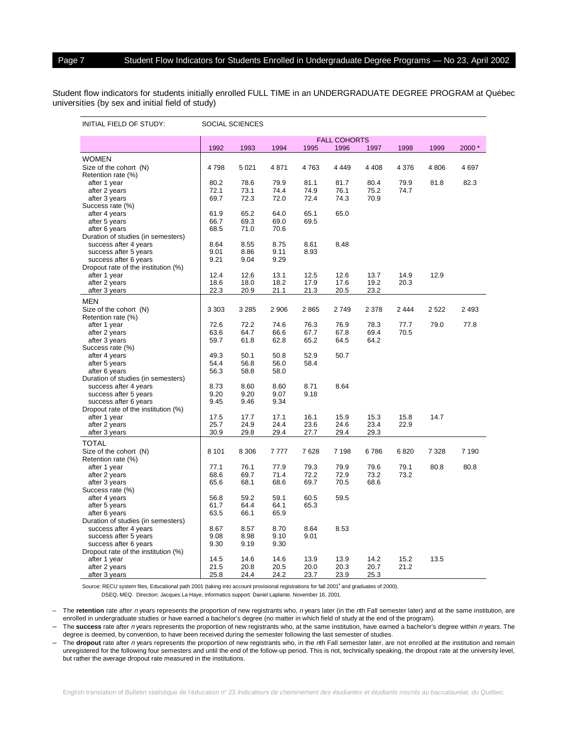| INITIAL FIELD OF STUDY:                             |              | SOCIAL SCIENCES |              |              |                     |         |         |         |         |
|-----------------------------------------------------|--------------|-----------------|--------------|--------------|---------------------|---------|---------|---------|---------|
|                                                     |              |                 |              |              | <b>FALL COHORTS</b> |         |         |         |         |
|                                                     | 1992         | 1993            | 1994         | 1995         | 1996                | 1997    | 1998    | 1999    | 2000*   |
| <b>WOMEN</b>                                        |              |                 |              |              |                     |         |         |         |         |
| Size of the cohort (N)                              | 4798         | 5 0 21          | 4871         | 4763         | 4 4 4 9             | 4 4 0 8 | 4 3 7 6 | 4806    | 4697    |
| Retention rate (%)                                  |              |                 |              |              |                     |         |         |         |         |
| after 1 year                                        | 80.2         | 78.6            | 79.9         | 81.1         | 81.7                | 80.4    | 79.9    | 81.8    | 82.3    |
| after 2 years                                       | 72.1         | 73.1            | 74.4         | 74.9         | 76.1                | 75.2    | 74.7    |         |         |
| after 3 years                                       | 69.7         | 72.3            | 72.0         | 72.4         | 74.3                | 70.9    |         |         |         |
| Success rate (%)                                    |              |                 |              |              |                     |         |         |         |         |
| after 4 years                                       | 61.9<br>66.7 | 65.2<br>69.3    | 64.0<br>69.0 | 65.1<br>69.5 | 65.0                |         |         |         |         |
| after 5 years<br>after 6 years                      | 68.5         | 71.0            | 70.6         |              |                     |         |         |         |         |
| Duration of studies (in semesters)                  |              |                 |              |              |                     |         |         |         |         |
| success after 4 years                               | 8.64         | 8.55            | 8.75         | 8.61         | 8.48                |         |         |         |         |
| success after 5 years                               | 9.01         | 8.86            | 9.11         | 8.93         |                     |         |         |         |         |
| success after 6 years                               | 9.21         | 9.04            | 9.29         |              |                     |         |         |         |         |
| Dropout rate of the institution (%)                 |              |                 |              |              |                     |         |         |         |         |
| after 1 year                                        | 12.4         | 12.6            | 13.1         | 12.5         | 12.6                | 13.7    | 14.9    | 12.9    |         |
| after 2 years                                       | 18.6         | 18.0            | 18.2         | 17.9         | 17.6                | 19.2    | 20.3    |         |         |
| after 3 years                                       | 22.3         | 20.9            | 21.1         | 21.3         | 20.5                | 23.2    |         |         |         |
| <b>MEN</b>                                          |              |                 |              |              |                     |         |         |         |         |
| Size of the cohort (N)                              | 3 3 0 3      | 3 2 8 5         | 2 9 0 6      | 2865         | 2749                | 2 3 7 8 | 2444    | 2522    | 2 4 9 3 |
| Retention rate (%)                                  |              |                 |              |              |                     |         |         |         |         |
| after 1 year                                        | 72.6         | 72.2            | 74.6         | 76.3         | 76.9                | 78.3    | 77.7    | 79.0    | 77.8    |
| after 2 years                                       | 63.6         | 64.7            | 66.6         | 67.7         | 67.8                | 69.4    | 70.5    |         |         |
| after 3 years                                       | 59.7         | 61.8            | 62.8         | 65.2         | 64.5                | 64.2    |         |         |         |
| Success rate (%)                                    |              |                 |              |              |                     |         |         |         |         |
| after 4 years                                       | 49.3         | 50.1            | 50.8         | 52.9         | 50.7                |         |         |         |         |
| after 5 years<br>after 6 years                      | 54.4<br>56.3 | 56.8<br>58.8    | 56.0<br>58.0 | 58.4         |                     |         |         |         |         |
| Duration of studies (in semesters)                  |              |                 |              |              |                     |         |         |         |         |
| success after 4 years                               | 8.73         | 8.60            | 8.60         | 8.71         | 8.64                |         |         |         |         |
| success after 5 years                               | 9.20         | 9.20            | 9.07         | 9.18         |                     |         |         |         |         |
| success after 6 years                               | 9.45         | 9.46            | 9.34         |              |                     |         |         |         |         |
| Dropout rate of the institution (%)                 |              |                 |              |              |                     |         |         |         |         |
| after 1 year                                        | 17.5         | 17.7            | 17.1         | 16.1         | 15.9                | 15.3    | 15.8    | 14.7    |         |
| after 2 years                                       | 25.7         | 24.9            | 24.4         | 23.6         | 24.6                | 23.4    | 22.9    |         |         |
| after 3 years                                       | 30.9         | 29.8            | 29.4         | 27.7         | 29.4                | 29.3    |         |         |         |
| <b>TOTAL</b>                                        |              |                 |              |              |                     |         |         |         |         |
| Size of the cohort (N)                              | 8 1 0 1      | 8 3 0 6         | 7777         | 7628         | 7 1 9 8             | 6786    | 6820    | 7 3 2 8 | 7 190   |
| Retention rate (%)                                  |              |                 |              |              |                     |         |         |         |         |
| after 1 year                                        | 77.1         | 76.1            | 77.9         | 79.3         | 79.9                | 79.6    | 79.1    | 80.8    | 80.8    |
| after 2 years                                       | 68.6         | 69.7            | 71.4         | 72.2         | 72.9                | 73.2    | 73.2    |         |         |
| after 3 years                                       | 65.6         | 68.1            | 68.6         | 69.7         | 70.5                | 68.6    |         |         |         |
| Success rate (%)                                    |              |                 |              |              |                     |         |         |         |         |
| after 4 years                                       | 56.8         | 59.2            | 59.1         | 60.5         | 59.5                |         |         |         |         |
| after 5 years                                       | 61.7         | 64.4            | 64.1         | 65.3         |                     |         |         |         |         |
| after 6 years<br>Duration of studies (in semesters) | 63.5         | 66.1            | 65.9         |              |                     |         |         |         |         |
| success after 4 years                               | 8.67         | 8.57            | 8.70         | 8.64         | 8.53                |         |         |         |         |
| success after 5 years                               | 9.08         | 8.98            | 9.10         | 9.01         |                     |         |         |         |         |
| success after 6 years                               | 9.30         | 9.19            | 9.30         |              |                     |         |         |         |         |
| Dropout rate of the institution (%)                 |              |                 |              |              |                     |         |         |         |         |
| after 1 year                                        | 14.5         | 14.6            | 14.6         | 13.9         | 13.9                | 14.2    | 15.2    | 13.5    |         |
| after 2 years                                       | 21.5         | 20.8            | 20.5         | 20.0         | 20.3                | 20.7    | 21.2    |         |         |
| after 3 years                                       | 25.8         | 24.4            | 24.2         | 23.7         | 23.9                | 25.3    |         |         |         |

Source: RECU system files, Educational path 2001 (taking into account provisional registrations for fall 2001**\*** and graduates of 2000).

DSEQ, MEQ. Direction: Jacques La Haye, informatics support: Daniel Laplante. November 16, 2001.

– The **retention** rate after <sup>n</sup> years represents the proportion of new registrants who, <sup>n</sup> years later (in the nth Fall semester later) and at the same institution, are enrolled in undergraduate studies or have earned a bachelor's degree (no matter in which field of study at the end of the program).

The **success** rate after n years represents the proportion of new registrants who, at the same institution, have earned a bachelor's degree within n years. The degree is deemed, by convention, to have been received during the semester following the last semester of studies.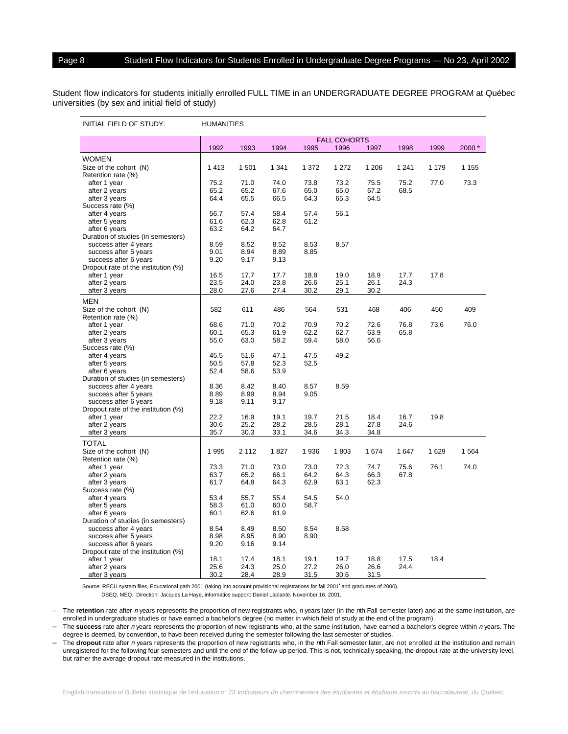| INITIAL FIELD OF STUDY:                                     | <b>HUMANITIES</b> |              |              |              |                     |              |              |       |         |
|-------------------------------------------------------------|-------------------|--------------|--------------|--------------|---------------------|--------------|--------------|-------|---------|
|                                                             |                   |              |              |              | <b>FALL COHORTS</b> |              |              |       |         |
|                                                             | 1992              | 1993         | 1994         | 1995         | 1996                | 1997         | 1998         | 1999  | 2000*   |
| <b>WOMEN</b>                                                |                   |              |              |              |                     |              |              |       |         |
| Size of the cohort (N)                                      | 1413              | 1501         | 1 3 4 1      | 1 3 7 2      | 1 2 7 2             | 1 2 0 6      | 1 2 4 1      | 1 179 | 1 1 5 5 |
| Retention rate (%)                                          |                   |              |              |              |                     |              |              |       |         |
| after 1 year                                                | 75.2              | 71.0         | 74.0         | 73.8         | 73.2                | 75.5         | 75.2         | 77.0  | 73.3    |
| after 2 years                                               | 65.2              | 65.2         | 67.6         | 65.0         | 65.0                | 67.2         | 68.5         |       |         |
| after 3 years                                               | 64.4              | 65.5         | 66.5         | 64.3         | 65.3                | 64.5         |              |       |         |
| Success rate (%)                                            |                   |              |              |              |                     |              |              |       |         |
| after 4 years                                               | 56.7              | 57.4         | 58.4         | 57.4         | 56.1                |              |              |       |         |
| after 5 years                                               | 61.6              | 62.3         | 62.8         | 61.2         |                     |              |              |       |         |
| after 6 years                                               | 63.2              | 64.2         | 64.7         |              |                     |              |              |       |         |
| Duration of studies (in semesters)<br>success after 4 years | 8.59              | 8.52         | 8.52         | 8.53         | 8.57                |              |              |       |         |
| success after 5 years                                       | 9.01              | 8.94         | 8.89         | 8.85         |                     |              |              |       |         |
| success after 6 years                                       | 9.20              | 9.17         | 9.13         |              |                     |              |              |       |         |
| Dropout rate of the institution (%)                         |                   |              |              |              |                     |              |              |       |         |
| after 1 year                                                | 16.5              | 17.7         | 17.7         | 18.8         | 19.0                | 18.9         | 17.7         | 17.8  |         |
| after 2 years                                               | 23.5              | 24.0         | 23.8         | 26.6         | 25.1                | 26.1         | 24.3         |       |         |
| after 3 years                                               | 28.0              | 27.6         | 27.4         | 30.2         | 29.1                | 30.2         |              |       |         |
| <b>MEN</b>                                                  |                   |              |              |              |                     |              |              |       |         |
| Size of the cohort (N)                                      | 582               | 611          | 486          | 564          | 531                 | 468          | 406          | 450   | 409     |
| Retention rate (%)                                          |                   |              |              |              |                     |              |              |       |         |
| after 1 year                                                | 68.6              | 71.0         | 70.2         | 70.9         | 70.2                | 72.6         | 76.8         | 73.6  | 76.0    |
| after 2 years                                               | 60.1              | 65.3         | 61.9         | 62.2         | 62.7                | 63.9         | 65.8         |       |         |
| after 3 years                                               | 55.0              | 63.0         | 58.2         | 59.4         | 58.0                | 56.6         |              |       |         |
| Success rate (%)                                            |                   |              |              |              |                     |              |              |       |         |
| after 4 years                                               | 45.5              | 51.6         | 47.1         | 47.5         | 49.2                |              |              |       |         |
| after 5 years                                               | 50.5              | 57.8         | 52.3         | 52.5         |                     |              |              |       |         |
| after 6 years                                               | 52.4              | 58.6         | 53.9         |              |                     |              |              |       |         |
| Duration of studies (in semesters)                          |                   |              |              |              |                     |              |              |       |         |
| success after 4 years                                       | 8.36              | 8.42         | 8.40         | 8.57         | 8.59                |              |              |       |         |
| success after 5 years                                       | 8.89              | 8.99         | 8.94         | 9.05         |                     |              |              |       |         |
| success after 6 years                                       | 9.18              | 9.11         | 9.17         |              |                     |              |              |       |         |
| Dropout rate of the institution (%)                         | 22.2              | 16.9         | 19.1         | 19.7         | 21.5                | 18.4         | 16.7         | 19.8  |         |
| after 1 year<br>after 2 years                               | 30.6              | 25.2         | 28.2         | 28.5         | 28.1                | 27.8         | 24.6         |       |         |
| after 3 years                                               | 35.7              | 30.3         | 33.1         | 34.6         | 34.3                | 34.8         |              |       |         |
|                                                             |                   |              |              |              |                     |              |              |       |         |
| <b>TOTAL</b>                                                |                   |              |              |              |                     |              |              |       |         |
| Size of the cohort (N)                                      | 1995              | 2 1 1 2      | 1827         | 1936         | 1803                | 1674         | 1647         | 1629  | 1564    |
| Retention rate (%)                                          |                   |              |              |              |                     |              |              |       | 74.0    |
| after 1 year                                                | 73.3<br>63.7      | 71.0<br>65.2 | 73.0<br>66.1 | 73.0<br>64.2 | 72.3<br>64.3        | 74.7<br>66.3 | 75.6<br>67.8 | 76.1  |         |
| after 2 years<br>after 3 years                              | 61.7              | 64.8         | 64.3         | 62.9         | 63.1                | 62.3         |              |       |         |
| Success rate (%)                                            |                   |              |              |              |                     |              |              |       |         |
| after 4 years                                               | 53.4              | 55.7         | 55.4         | 54.5         | 54.0                |              |              |       |         |
| after 5 years                                               | 58.3              | 61.0         | 60.0         | 58.7         |                     |              |              |       |         |
| after 6 years                                               | 60.1              | 62.6         | 61.9         |              |                     |              |              |       |         |
| Duration of studies (in semesters)                          |                   |              |              |              |                     |              |              |       |         |
| success after 4 years                                       | 8.54              | 8.49         | 8.50         | 8.54         | 8.58                |              |              |       |         |
| success after 5 years                                       | 8.98              | 8.95         | 8.90         | 8.90         |                     |              |              |       |         |
| success after 6 years                                       | 9.20              | 9.16         | 9.14         |              |                     |              |              |       |         |
| Dropout rate of the institution (%)                         |                   |              |              |              |                     |              |              |       |         |
| after 1 year                                                | 18.1              | 17.4         | 18.1         | 19.1         | 19.7                | 18.8         | 17.5         | 18.4  |         |
| after 2 years                                               | 25.6              | 24.3         | 25.0         | 27.2         | 26.0                | 26.6         | 24.4         |       |         |
| after 3 years                                               | 30.2              | 28.4         | 28.9         | 31.5         | 30.6                | 31.5         |              |       |         |

Source: RECU system files, Educational path 2001 (taking into account provisional registrations for fall 2001**\*** and graduates of 2000).

DSEQ, MEQ. Direction: Jacques La Haye, informatics support: Daniel Laplante. November 16, 2001.

– The **retention** rate after <sup>n</sup> years represents the proportion of new registrants who, <sup>n</sup> years later (in the nth Fall semester later) and at the same institution, are enrolled in undergraduate studies or have earned a bachelor's degree (no matter in which field of study at the end of the program).

The **success** rate after n years represents the proportion of new registrants who, at the same institution, have earned a bachelor's degree within n years. The degree is deemed, by convention, to have been received during the semester following the last semester of studies.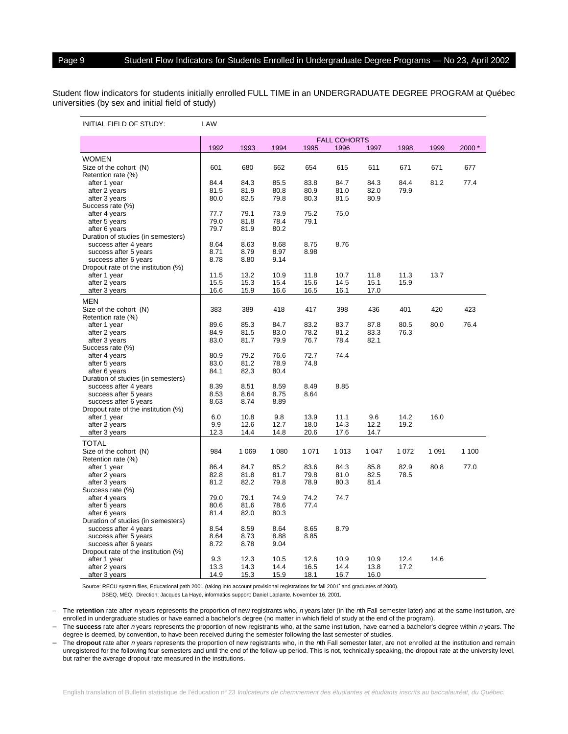| INITIAL FIELD OF STUDY:             | LAW  |         |         |         |                     |         |         |         |        |
|-------------------------------------|------|---------|---------|---------|---------------------|---------|---------|---------|--------|
|                                     |      |         |         |         | <b>FALL COHORTS</b> |         |         |         |        |
|                                     | 1992 | 1993    | 1994    | 1995    | 1996                | 1997    | 1998    | 1999    | 2000 * |
| <b>WOMEN</b>                        |      |         |         |         |                     |         |         |         |        |
| Size of the cohort (N)              | 601  | 680     | 662     | 654     | 615                 | 611     | 671     | 671     | 677    |
| Retention rate (%)                  |      |         |         |         |                     |         |         |         |        |
| after 1 year                        | 84.4 | 84.3    | 85.5    | 83.8    | 84.7                | 84.3    | 84.4    | 81.2    | 77.4   |
| after 2 years                       | 81.5 | 81.9    | 80.8    | 80.9    | 81.0                | 82.0    | 79.9    |         |        |
| after 3 years<br>Success rate (%)   | 80.0 | 82.5    | 79.8    | 80.3    | 81.5                | 80.9    |         |         |        |
| after 4 years                       | 77.7 | 79.1    | 73.9    | 75.2    | 75.0                |         |         |         |        |
| after 5 years                       | 79.0 | 81.8    | 78.4    | 79.1    |                     |         |         |         |        |
| after 6 years                       | 79.7 | 81.9    | 80.2    |         |                     |         |         |         |        |
| Duration of studies (in semesters)  |      |         |         |         |                     |         |         |         |        |
| success after 4 years               | 8.64 | 8.63    | 8.68    | 8.75    | 8.76                |         |         |         |        |
| success after 5 years               | 8.71 | 8.79    | 8.97    | 8.98    |                     |         |         |         |        |
| success after 6 years               | 8.78 | 8.80    | 9.14    |         |                     |         |         |         |        |
| Dropout rate of the institution (%) |      |         |         |         |                     |         |         |         |        |
| after 1 year                        | 11.5 | 13.2    | 10.9    | 11.8    | 10.7                | 11.8    | 11.3    | 13.7    |        |
| after 2 years                       | 15.5 | 15.3    | 15.4    | 15.6    | 14.5                | 15.1    | 15.9    |         |        |
| after 3 years                       | 16.6 | 15.9    | 16.6    | 16.5    | 16.1                | 17.0    |         |         |        |
| <b>MEN</b>                          |      |         |         |         |                     |         |         |         |        |
| Size of the cohort (N)              | 383  | 389     | 418     | 417     | 398                 | 436     | 401     | 420     | 423    |
| Retention rate (%)                  |      |         |         |         |                     |         |         |         |        |
| after 1 year                        | 89.6 | 85.3    | 84.7    | 83.2    | 83.7                | 87.8    | 80.5    | 80.0    | 76.4   |
| after 2 years                       | 84.9 | 81.5    | 83.0    | 78.2    | 81.2                | 83.3    | 76.3    |         |        |
| after 3 years                       | 83.0 | 81.7    | 79.9    | 76.7    | 78.4                | 82.1    |         |         |        |
| Success rate (%)<br>after 4 years   | 80.9 | 79.2    | 76.6    | 72.7    | 74.4                |         |         |         |        |
| after 5 years                       | 83.0 | 81.2    | 78.9    | 74.8    |                     |         |         |         |        |
| after 6 years                       | 84.1 | 82.3    | 80.4    |         |                     |         |         |         |        |
| Duration of studies (in semesters)  |      |         |         |         |                     |         |         |         |        |
| success after 4 years               | 8.39 | 8.51    | 8.59    | 8.49    | 8.85                |         |         |         |        |
| success after 5 years               | 8.53 | 8.64    | 8.75    | 8.64    |                     |         |         |         |        |
| success after 6 years               | 8.63 | 8.74    | 8.89    |         |                     |         |         |         |        |
| Dropout rate of the institution (%) |      |         |         |         |                     |         |         |         |        |
| after 1 year                        | 6.0  | 10.8    | 9.8     | 13.9    | 11.1                | 9.6     | 14.2    | 16.0    |        |
| after 2 years                       | 9.9  | 12.6    | 12.7    | 18.0    | 14.3                | 12.2    | 19.2    |         |        |
| after 3 years                       | 12.3 | 14.4    | 14.8    | 20.6    | 17.6                | 14.7    |         |         |        |
| <b>TOTAL</b>                        |      |         |         |         |                     |         |         |         |        |
| Size of the cohort (N)              | 984  | 1 0 6 9 | 1 0 8 0 | 1 0 7 1 | 1013                | 1 0 4 7 | 1 0 7 2 | 1 0 9 1 | 1 100  |
| Retention rate (%)                  |      |         |         |         |                     |         |         |         |        |
| after 1 year                        | 86.4 | 84.7    | 85.2    | 83.6    | 84.3                | 85.8    | 82.9    | 80.8    | 77.0   |
| after 2 years                       | 82.8 | 81.8    | 81.7    | 79.8    | 81.0                | 82.5    | 78.5    |         |        |
| after 3 years                       | 81.2 | 82.2    | 79.8    | 78.9    | 80.3                | 81.4    |         |         |        |
| Success rate (%)<br>after 4 years   | 79.0 | 79.1    | 74.9    | 74.2    | 74.7                |         |         |         |        |
| after 5 years                       | 80.6 | 81.6    | 78.6    | 77.4    |                     |         |         |         |        |
| after 6 years                       | 81.4 | 82.0    | 80.3    |         |                     |         |         |         |        |
| Duration of studies (in semesters)  |      |         |         |         |                     |         |         |         |        |
| success after 4 years               | 8.54 | 8.59    | 8.64    | 8.65    | 8.79                |         |         |         |        |
| success after 5 years               | 8.64 | 8.73    | 8.88    | 8.85    |                     |         |         |         |        |
| success after 6 years               | 8.72 | 8.78    | 9.04    |         |                     |         |         |         |        |
| Dropout rate of the institution (%) |      |         |         |         |                     |         |         |         |        |
| after 1 year                        | 9.3  | 12.3    | 10.5    | 12.6    | 10.9                | 10.9    | 12.4    | 14.6    |        |
| after 2 years                       | 13.3 | 14.3    | 14.4    | 16.5    | 14.4                | 13.8    | 17.2    |         |        |
| after 3 years                       | 14.9 | 15.3    | 15.9    | 18.1    | 16.7                | 16.0    |         |         |        |

Source: RECU system files, Educational path 2001 (taking into account provisional registrations for fall 2001**\*** and graduates of 2000).

DSEQ, MEQ. Direction: Jacques La Haye, informatics support: Daniel Laplante. November 16, 2001.

– The **retention** rate after <sup>n</sup> years represents the proportion of new registrants who, <sup>n</sup> years later (in the nth Fall semester later) and at the same institution, are enrolled in undergraduate studies or have earned a bachelor's degree (no matter in which field of study at the end of the program).

The **success** rate after n years represents the proportion of new registrants who, at the same institution, have earned a bachelor's degree within n years. The degree is deemed, by convention, to have been received during the semester following the last semester of studies.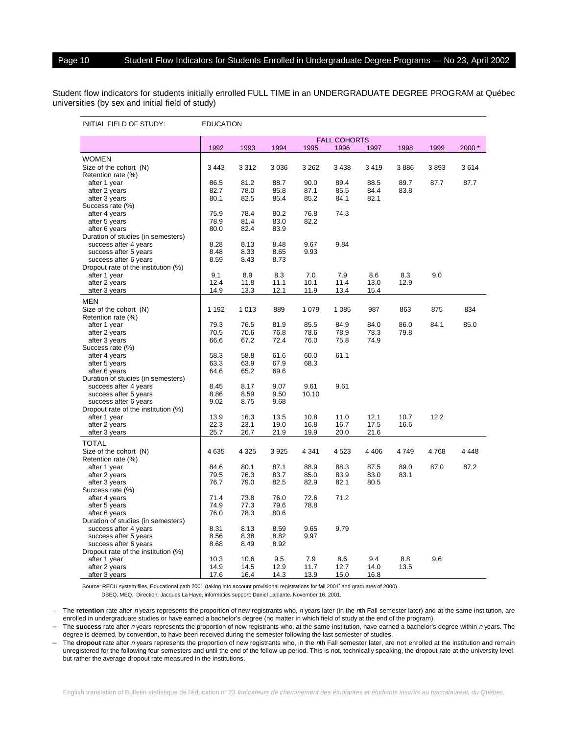| <b>FALL COHORTS</b><br>1992<br>2000*<br>1993<br>1994<br>1995<br>1996<br>1997<br>1998<br>1999<br><b>WOMEN</b><br>Size of the cohort (N)<br>3 4 4 3<br>3312<br>3 0 3 6<br>3 2 6 2<br>3 4 3 8<br>3419<br>3886<br>3893<br>3614<br>Retention rate (%)<br>88.7<br>89.4<br>after 1 year<br>86.5<br>81.2<br>90.0<br>88.5<br>89.7<br>87.7<br>87.7<br>78.0<br>87.1<br>85.5<br>82.7<br>85.8<br>84.4<br>83.8<br>after 2 years<br>80.1<br>82.5<br>85.4<br>85.2<br>84.1<br>82.1<br>after 3 years<br>Success rate (%)<br>75.9<br>78.4<br>80.2<br>76.8<br>74.3<br>after 4 years<br>82.2<br>78.9<br>81.4<br>83.0<br>after 5 years<br>80.0<br>82.4<br>83.9<br>after 6 years<br>Duration of studies (in semesters)<br>8.28<br>success after 4 years<br>8.13<br>8.48<br>9.67<br>9.84<br>8.48<br>8.33<br>8.65<br>9.93<br>success after 5 years<br>8.59<br>8.73<br>success after 6 years<br>8.43<br>Dropout rate of the institution (%)<br>9.1<br>8.9<br>8.3<br>7.0<br>7.9<br>8.6<br>8.3<br>9.0<br>after 1 year<br>12.4<br>11.8<br>11.4<br>12.9<br>after 2 years<br>11.1<br>10.1<br>13.0<br>14.9<br>13.3<br>12.1<br>11.9<br>13.4<br>15.4<br>after 3 years | INITIAL FIELD OF STUDY: | <b>EDUCATION</b> |  |  |  |  |
|-------------------------------------------------------------------------------------------------------------------------------------------------------------------------------------------------------------------------------------------------------------------------------------------------------------------------------------------------------------------------------------------------------------------------------------------------------------------------------------------------------------------------------------------------------------------------------------------------------------------------------------------------------------------------------------------------------------------------------------------------------------------------------------------------------------------------------------------------------------------------------------------------------------------------------------------------------------------------------------------------------------------------------------------------------------------------------------------------------------------------------------|-------------------------|------------------|--|--|--|--|
|                                                                                                                                                                                                                                                                                                                                                                                                                                                                                                                                                                                                                                                                                                                                                                                                                                                                                                                                                                                                                                                                                                                                     |                         |                  |  |  |  |  |
|                                                                                                                                                                                                                                                                                                                                                                                                                                                                                                                                                                                                                                                                                                                                                                                                                                                                                                                                                                                                                                                                                                                                     |                         |                  |  |  |  |  |
|                                                                                                                                                                                                                                                                                                                                                                                                                                                                                                                                                                                                                                                                                                                                                                                                                                                                                                                                                                                                                                                                                                                                     |                         |                  |  |  |  |  |
|                                                                                                                                                                                                                                                                                                                                                                                                                                                                                                                                                                                                                                                                                                                                                                                                                                                                                                                                                                                                                                                                                                                                     |                         |                  |  |  |  |  |
|                                                                                                                                                                                                                                                                                                                                                                                                                                                                                                                                                                                                                                                                                                                                                                                                                                                                                                                                                                                                                                                                                                                                     |                         |                  |  |  |  |  |
|                                                                                                                                                                                                                                                                                                                                                                                                                                                                                                                                                                                                                                                                                                                                                                                                                                                                                                                                                                                                                                                                                                                                     |                         |                  |  |  |  |  |
|                                                                                                                                                                                                                                                                                                                                                                                                                                                                                                                                                                                                                                                                                                                                                                                                                                                                                                                                                                                                                                                                                                                                     |                         |                  |  |  |  |  |
|                                                                                                                                                                                                                                                                                                                                                                                                                                                                                                                                                                                                                                                                                                                                                                                                                                                                                                                                                                                                                                                                                                                                     |                         |                  |  |  |  |  |
|                                                                                                                                                                                                                                                                                                                                                                                                                                                                                                                                                                                                                                                                                                                                                                                                                                                                                                                                                                                                                                                                                                                                     |                         |                  |  |  |  |  |
|                                                                                                                                                                                                                                                                                                                                                                                                                                                                                                                                                                                                                                                                                                                                                                                                                                                                                                                                                                                                                                                                                                                                     |                         |                  |  |  |  |  |
|                                                                                                                                                                                                                                                                                                                                                                                                                                                                                                                                                                                                                                                                                                                                                                                                                                                                                                                                                                                                                                                                                                                                     |                         |                  |  |  |  |  |
|                                                                                                                                                                                                                                                                                                                                                                                                                                                                                                                                                                                                                                                                                                                                                                                                                                                                                                                                                                                                                                                                                                                                     |                         |                  |  |  |  |  |
|                                                                                                                                                                                                                                                                                                                                                                                                                                                                                                                                                                                                                                                                                                                                                                                                                                                                                                                                                                                                                                                                                                                                     |                         |                  |  |  |  |  |
|                                                                                                                                                                                                                                                                                                                                                                                                                                                                                                                                                                                                                                                                                                                                                                                                                                                                                                                                                                                                                                                                                                                                     |                         |                  |  |  |  |  |
|                                                                                                                                                                                                                                                                                                                                                                                                                                                                                                                                                                                                                                                                                                                                                                                                                                                                                                                                                                                                                                                                                                                                     |                         |                  |  |  |  |  |
|                                                                                                                                                                                                                                                                                                                                                                                                                                                                                                                                                                                                                                                                                                                                                                                                                                                                                                                                                                                                                                                                                                                                     |                         |                  |  |  |  |  |
|                                                                                                                                                                                                                                                                                                                                                                                                                                                                                                                                                                                                                                                                                                                                                                                                                                                                                                                                                                                                                                                                                                                                     |                         |                  |  |  |  |  |
|                                                                                                                                                                                                                                                                                                                                                                                                                                                                                                                                                                                                                                                                                                                                                                                                                                                                                                                                                                                                                                                                                                                                     |                         |                  |  |  |  |  |
|                                                                                                                                                                                                                                                                                                                                                                                                                                                                                                                                                                                                                                                                                                                                                                                                                                                                                                                                                                                                                                                                                                                                     |                         |                  |  |  |  |  |
|                                                                                                                                                                                                                                                                                                                                                                                                                                                                                                                                                                                                                                                                                                                                                                                                                                                                                                                                                                                                                                                                                                                                     |                         |                  |  |  |  |  |
|                                                                                                                                                                                                                                                                                                                                                                                                                                                                                                                                                                                                                                                                                                                                                                                                                                                                                                                                                                                                                                                                                                                                     | <b>MEN</b>              |                  |  |  |  |  |
| 1 1 9 2<br>1013<br>889<br>1 0 7 9<br>1 0 8 5<br>987<br>863<br>875<br>834<br>Size of the cohort (N)                                                                                                                                                                                                                                                                                                                                                                                                                                                                                                                                                                                                                                                                                                                                                                                                                                                                                                                                                                                                                                  |                         |                  |  |  |  |  |
| Retention rate (%)                                                                                                                                                                                                                                                                                                                                                                                                                                                                                                                                                                                                                                                                                                                                                                                                                                                                                                                                                                                                                                                                                                                  |                         |                  |  |  |  |  |
| 79.3<br>76.5<br>81.9<br>85.5<br>84.9<br>84.0<br>86.0<br>84.1<br>85.0<br>after 1 year                                                                                                                                                                                                                                                                                                                                                                                                                                                                                                                                                                                                                                                                                                                                                                                                                                                                                                                                                                                                                                                |                         |                  |  |  |  |  |
| after 2 years<br>70.5<br>70.6<br>76.8<br>78.6<br>78.9<br>78.3<br>79.8                                                                                                                                                                                                                                                                                                                                                                                                                                                                                                                                                                                                                                                                                                                                                                                                                                                                                                                                                                                                                                                               |                         |                  |  |  |  |  |
| 66.6<br>67.2<br>72.4<br>76.0<br>75.8<br>74.9<br>after 3 years                                                                                                                                                                                                                                                                                                                                                                                                                                                                                                                                                                                                                                                                                                                                                                                                                                                                                                                                                                                                                                                                       |                         |                  |  |  |  |  |
| Success rate (%)                                                                                                                                                                                                                                                                                                                                                                                                                                                                                                                                                                                                                                                                                                                                                                                                                                                                                                                                                                                                                                                                                                                    |                         |                  |  |  |  |  |
| 58.3<br>60.0<br>61.1<br>after 4 years<br>58.8<br>61.6                                                                                                                                                                                                                                                                                                                                                                                                                                                                                                                                                                                                                                                                                                                                                                                                                                                                                                                                                                                                                                                                               |                         |                  |  |  |  |  |
| 63.3<br>63.9<br>67.9<br>68.3<br>after 5 years                                                                                                                                                                                                                                                                                                                                                                                                                                                                                                                                                                                                                                                                                                                                                                                                                                                                                                                                                                                                                                                                                       |                         |                  |  |  |  |  |
| 65.2<br>after 6 years<br>64.6<br>69.6                                                                                                                                                                                                                                                                                                                                                                                                                                                                                                                                                                                                                                                                                                                                                                                                                                                                                                                                                                                                                                                                                               |                         |                  |  |  |  |  |
| Duration of studies (in semesters)                                                                                                                                                                                                                                                                                                                                                                                                                                                                                                                                                                                                                                                                                                                                                                                                                                                                                                                                                                                                                                                                                                  |                         |                  |  |  |  |  |
| success after 4 years<br>8.45<br>8.17<br>9.07<br>9.61<br>9.61                                                                                                                                                                                                                                                                                                                                                                                                                                                                                                                                                                                                                                                                                                                                                                                                                                                                                                                                                                                                                                                                       |                         |                  |  |  |  |  |
| 8.86<br>8.59<br>9.50<br>10.10<br>success after 5 years                                                                                                                                                                                                                                                                                                                                                                                                                                                                                                                                                                                                                                                                                                                                                                                                                                                                                                                                                                                                                                                                              |                         |                  |  |  |  |  |
| success after 6 years<br>9.02<br>8.75<br>9.68                                                                                                                                                                                                                                                                                                                                                                                                                                                                                                                                                                                                                                                                                                                                                                                                                                                                                                                                                                                                                                                                                       |                         |                  |  |  |  |  |
| Dropout rate of the institution (%)                                                                                                                                                                                                                                                                                                                                                                                                                                                                                                                                                                                                                                                                                                                                                                                                                                                                                                                                                                                                                                                                                                 |                         |                  |  |  |  |  |
| 12.2<br>after 1 year<br>13.9<br>16.3<br>13.5<br>10.8<br>11.0<br>12.1<br>10.7                                                                                                                                                                                                                                                                                                                                                                                                                                                                                                                                                                                                                                                                                                                                                                                                                                                                                                                                                                                                                                                        |                         |                  |  |  |  |  |
| 22.3<br>23.1<br>16.7<br>after 2 years<br>19.0<br>16.8<br>17.5<br>16.6                                                                                                                                                                                                                                                                                                                                                                                                                                                                                                                                                                                                                                                                                                                                                                                                                                                                                                                                                                                                                                                               |                         |                  |  |  |  |  |
| 25.7<br>after 3 years<br>26.7<br>21.9<br>19.9<br>20.0<br>21.6                                                                                                                                                                                                                                                                                                                                                                                                                                                                                                                                                                                                                                                                                                                                                                                                                                                                                                                                                                                                                                                                       |                         |                  |  |  |  |  |
| <b>TOTAL</b>                                                                                                                                                                                                                                                                                                                                                                                                                                                                                                                                                                                                                                                                                                                                                                                                                                                                                                                                                                                                                                                                                                                        |                         |                  |  |  |  |  |
| 4635<br>4 3 2 5<br>3925<br>4 3 4 1<br>4523<br>4 4 0 6<br>4768<br>4 4 4 8<br>Size of the cohort (N)<br>4 749                                                                                                                                                                                                                                                                                                                                                                                                                                                                                                                                                                                                                                                                                                                                                                                                                                                                                                                                                                                                                         |                         |                  |  |  |  |  |
| Retention rate (%)                                                                                                                                                                                                                                                                                                                                                                                                                                                                                                                                                                                                                                                                                                                                                                                                                                                                                                                                                                                                                                                                                                                  |                         |                  |  |  |  |  |
| 88.9<br>84.6<br>80.1<br>87.1<br>88.3<br>87.5<br>89.0<br>87.0<br>87.2<br>after 1 year                                                                                                                                                                                                                                                                                                                                                                                                                                                                                                                                                                                                                                                                                                                                                                                                                                                                                                                                                                                                                                                |                         |                  |  |  |  |  |
| 76.3<br>83.7<br>85.0<br>83.9<br>83.0<br>79.5<br>83.1<br>after 2 years                                                                                                                                                                                                                                                                                                                                                                                                                                                                                                                                                                                                                                                                                                                                                                                                                                                                                                                                                                                                                                                               |                         |                  |  |  |  |  |
| 76.7<br>79.0<br>82.5<br>82.9<br>82.1<br>80.5<br>after 3 years                                                                                                                                                                                                                                                                                                                                                                                                                                                                                                                                                                                                                                                                                                                                                                                                                                                                                                                                                                                                                                                                       |                         |                  |  |  |  |  |
| Success rate (%)                                                                                                                                                                                                                                                                                                                                                                                                                                                                                                                                                                                                                                                                                                                                                                                                                                                                                                                                                                                                                                                                                                                    |                         |                  |  |  |  |  |
| 71.4<br>73.8<br>71.2<br>76.0<br>72.6<br>after 4 years                                                                                                                                                                                                                                                                                                                                                                                                                                                                                                                                                                                                                                                                                                                                                                                                                                                                                                                                                                                                                                                                               |                         |                  |  |  |  |  |
| 74.9<br>77.3<br>79.6<br>78.8<br>after 5 years                                                                                                                                                                                                                                                                                                                                                                                                                                                                                                                                                                                                                                                                                                                                                                                                                                                                                                                                                                                                                                                                                       |                         |                  |  |  |  |  |
| 78.3<br>80.6<br>76.0<br>after 6 years                                                                                                                                                                                                                                                                                                                                                                                                                                                                                                                                                                                                                                                                                                                                                                                                                                                                                                                                                                                                                                                                                               |                         |                  |  |  |  |  |
| Duration of studies (in semesters)<br>8.59<br>9.65<br>9.79                                                                                                                                                                                                                                                                                                                                                                                                                                                                                                                                                                                                                                                                                                                                                                                                                                                                                                                                                                                                                                                                          |                         |                  |  |  |  |  |
| 8.31<br>success after 4 years<br>8.13<br>8.38<br>8.56<br>8.82<br>9.97                                                                                                                                                                                                                                                                                                                                                                                                                                                                                                                                                                                                                                                                                                                                                                                                                                                                                                                                                                                                                                                               |                         |                  |  |  |  |  |
| success after 5 years<br>8.49<br>8.92                                                                                                                                                                                                                                                                                                                                                                                                                                                                                                                                                                                                                                                                                                                                                                                                                                                                                                                                                                                                                                                                                               |                         |                  |  |  |  |  |
| success after 6 years<br>8.68<br>Dropout rate of the institution (%)                                                                                                                                                                                                                                                                                                                                                                                                                                                                                                                                                                                                                                                                                                                                                                                                                                                                                                                                                                                                                                                                |                         |                  |  |  |  |  |
| 9.6<br>10.3<br>10.6<br>9.5<br>7.9<br>8.6<br>9.4<br>8.8<br>after 1 year                                                                                                                                                                                                                                                                                                                                                                                                                                                                                                                                                                                                                                                                                                                                                                                                                                                                                                                                                                                                                                                              |                         |                  |  |  |  |  |
| 14.9<br>14.5<br>12.9<br>12.7<br>14.0<br>after 2 years<br>11.7<br>13.5                                                                                                                                                                                                                                                                                                                                                                                                                                                                                                                                                                                                                                                                                                                                                                                                                                                                                                                                                                                                                                                               |                         |                  |  |  |  |  |
| 17.6<br>16.4<br>14.3<br>13.9<br>15.0<br>16.8<br>after 3 years                                                                                                                                                                                                                                                                                                                                                                                                                                                                                                                                                                                                                                                                                                                                                                                                                                                                                                                                                                                                                                                                       |                         |                  |  |  |  |  |

Source: RECU system files, Educational path 2001 (taking into account provisional registrations for fall 2001**\*** and graduates of 2000).

DSEQ, MEQ. Direction: Jacques La Haye, informatics support: Daniel Laplante. November 16, 2001.

– The **retention** rate after <sup>n</sup> years represents the proportion of new registrants who, <sup>n</sup> years later (in the nth Fall semester later) and at the same institution, are enrolled in undergraduate studies or have earned a bachelor's degree (no matter in which field of study at the end of the program).

The **success** rate after n years represents the proportion of new registrants who, at the same institution, have earned a bachelor's degree within n years. The degree is deemed, by convention, to have been received during the semester following the last semester of studies.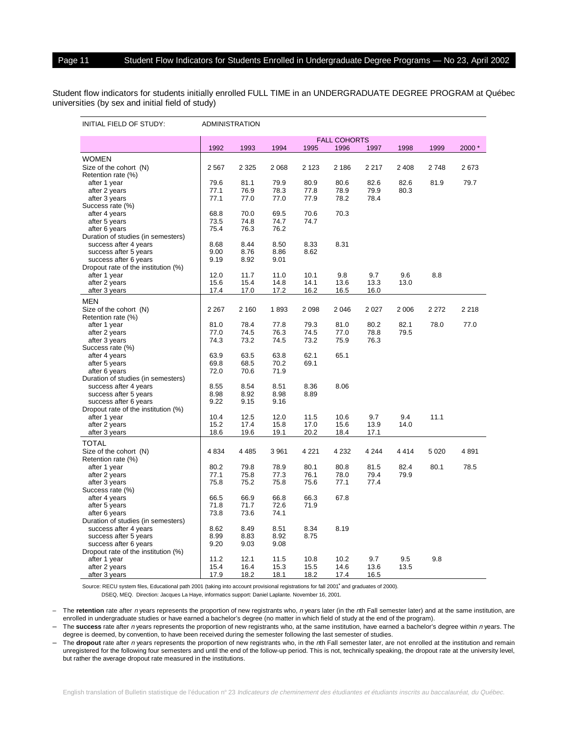| INITIAL FIELD OF STUDY:             |              | <b>ADMINISTRATION</b> |              |              |                     |             |             |         |         |
|-------------------------------------|--------------|-----------------------|--------------|--------------|---------------------|-------------|-------------|---------|---------|
|                                     |              |                       |              |              | <b>FALL COHORTS</b> |             |             |         |         |
|                                     | 1992         | 1993                  | 1994         | 1995         | 1996                | 1997        | 1998        | 1999    | 2000*   |
| <b>WOMEN</b>                        |              |                       |              |              |                     |             |             |         |         |
| Size of the cohort (N)              | 2567         | 2 3 2 5               | 2 0 6 8      | 2 1 2 3      | 2 186               | 2 2 1 7     | 2408        | 2748    | 2673    |
| Retention rate (%)                  |              |                       |              |              |                     |             |             |         |         |
| after 1 year                        | 79.6         | 81.1                  | 79.9         | 80.9         | 80.6                | 82.6        | 82.6        | 81.9    | 79.7    |
| after 2 years                       | 77.1         | 76.9                  | 78.3         | 77.8         | 78.9                | 79.9        | 80.3        |         |         |
| after 3 years                       | 77.1         | 77.0                  | 77.0         | 77.9         | 78.2                | 78.4        |             |         |         |
| Success rate (%)                    |              |                       |              |              |                     |             |             |         |         |
| after 4 years                       | 68.8         | 70.0                  | 69.5         | 70.6         | 70.3                |             |             |         |         |
| after 5 years                       | 73.5         | 74.8                  | 74.7         | 74.7         |                     |             |             |         |         |
| after 6 years                       | 75.4         | 76.3                  | 76.2         |              |                     |             |             |         |         |
| Duration of studies (in semesters)  |              |                       |              |              |                     |             |             |         |         |
| success after 4 years               | 8.68         | 8.44                  | 8.50         | 8.33         | 8.31                |             |             |         |         |
| success after 5 years               | 9.00         | 8.76                  | 8.86         | 8.62         |                     |             |             |         |         |
| success after 6 years               | 9.19         | 8.92                  | 9.01         |              |                     |             |             |         |         |
| Dropout rate of the institution (%) |              |                       |              |              |                     |             |             |         |         |
| after 1 year                        | 12.0         | 11.7                  | 11.0         | 10.1         | 9.8                 | 9.7         | 9.6         | 8.8     |         |
| after 2 years                       | 15.6         | 15.4                  | 14.8         | 14.1         | 13.6                | 13.3        | 13.0        |         |         |
| after 3 years                       | 17.4         | 17.0                  | 17.2         | 16.2         | 16.5                | 16.0        |             |         |         |
| <b>MEN</b>                          |              |                       |              |              |                     |             |             |         |         |
| Size of the cohort (N)              | 2 2 6 7      | 2 160                 | 1893         | 2098         | 2046                | 2027        | 2 0 0 6     | 2 2 7 2 | 2 2 1 8 |
| Retention rate (%)                  |              |                       |              |              |                     |             |             |         |         |
| after 1 year                        | 81.0         | 78.4                  | 77.8         | 79.3         | 81.0                | 80.2        | 82.1        | 78.0    | 77.0    |
| after 2 years                       | 77.0         | 74.5                  | 76.3         | 74.5         | 77.0                | 78.8        | 79.5        |         |         |
| after 3 years                       | 74.3         | 73.2                  | 74.5         | 73.2         | 75.9                | 76.3        |             |         |         |
| Success rate (%)                    |              |                       |              |              |                     |             |             |         |         |
| after 4 years                       | 63.9         | 63.5                  | 63.8         | 62.1         | 65.1                |             |             |         |         |
| after 5 years                       | 69.8         | 68.5                  | 70.2         | 69.1         |                     |             |             |         |         |
| after 6 years                       | 72.0         | 70.6                  | 71.9         |              |                     |             |             |         |         |
| Duration of studies (in semesters)  |              |                       |              |              |                     |             |             |         |         |
| success after 4 years               | 8.55         | 8.54                  | 8.51         | 8.36         | 8.06                |             |             |         |         |
| success after 5 years               | 8.98         | 8.92                  | 8.98         | 8.89         |                     |             |             |         |         |
| success after 6 years               | 9.22         | 9.15                  | 9.16         |              |                     |             |             |         |         |
| Dropout rate of the institution (%) |              |                       |              |              |                     |             |             |         |         |
| after 1 year                        | 10.4<br>15.2 | 12.5<br>17.4          | 12.0<br>15.8 | 11.5<br>17.0 | 10.6<br>15.6        | 9.7<br>13.9 | 9.4         | 11.1    |         |
| after 2 years                       |              |                       |              |              |                     |             | 14.0        |         |         |
| after 3 years                       | 18.6         | 19.6                  | 19.1         | 20.2         | 18.4                | 17.1        |             |         |         |
| <b>TOTAL</b>                        |              |                       |              |              |                     |             |             |         |         |
| Size of the cohort (N)              | 4834         | 4485                  | 3 9 6 1      | 4 2 2 1      | 4 2 3 2             | 4 2 4 4     | 4414        | 5 0 20  | 4891    |
| Retention rate (%)                  |              |                       |              |              |                     |             |             |         |         |
| after 1 year                        | 80.2         | 79.8                  | 78.9         | 80.1         | 80.8                | 81.5        | 82.4        | 80.1    | 78.5    |
| after 2 years                       | 77.1         | 75.8                  | 77.3         | 76.1         | 78.0                | 79.4        | 79.9        |         |         |
| after 3 years                       | 75.8         | 75.2                  | 75.8         | 75.6         | 77.1                | 77.4        |             |         |         |
| Success rate (%)                    |              |                       |              |              |                     |             |             |         |         |
| after 4 years                       | 66.5         | 66.9                  | 66.8         | 66.3         | 67.8                |             |             |         |         |
| after 5 years                       | 71.8         | 71.7                  | 72.6         | 71.9         |                     |             |             |         |         |
| after 6 years                       | 73.8         | 73.6                  | 74.1         |              |                     |             |             |         |         |
| Duration of studies (in semesters)  |              |                       |              |              |                     |             |             |         |         |
| success after 4 years               | 8.62         | 8.49                  | 8.51         | 8.34         | 8.19                |             |             |         |         |
| success after 5 years               | 8.99         | 8.83                  | 8.92         | 8.75         |                     |             |             |         |         |
| success after 6 years               | 9.20         | 9.03                  | 9.08         |              |                     |             |             |         |         |
| Dropout rate of the institution (%) |              |                       |              |              |                     |             |             |         |         |
| after 1 year<br>after 2 years       | 11.2<br>15.4 | 12.1<br>16.4          | 11.5<br>15.3 | 10.8<br>15.5 | 10.2<br>14.6        | 9.7<br>13.6 | 9.5<br>13.5 | 9.8     |         |
| after 3 years                       | 17.9         | 18.2                  | 18.1         | 18.2         | 17.4                | 16.5        |             |         |         |
|                                     |              |                       |              |              |                     |             |             |         |         |

Source: RECU system files, Educational path 2001 (taking into account provisional registrations for fall 2001**\*** and graduates of 2000).

DSEQ, MEQ. Direction: Jacques La Haye, informatics support: Daniel Laplante. November 16, 2001.

– The **retention** rate after <sup>n</sup> years represents the proportion of new registrants who, <sup>n</sup> years later (in the nth Fall semester later) and at the same institution, are enrolled in undergraduate studies or have earned a bachelor's degree (no matter in which field of study at the end of the program).

The **success** rate after n years represents the proportion of new registrants who, at the same institution, have earned a bachelor's degree within n years. The degree is deemed, by convention, to have been received during the semester following the last semester of studies.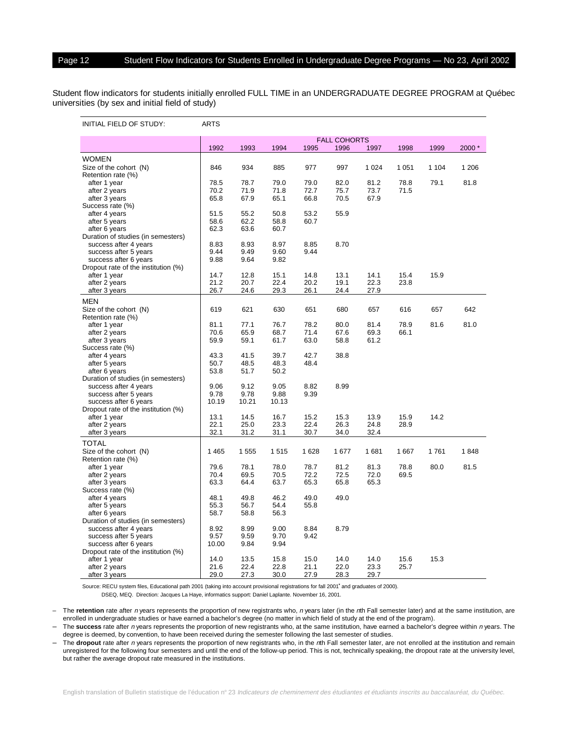## Page 12 Student Flow Indicators for Students Enrolled in Undergraduate Degree Programs - No 23, April 2002

Student flow indicators for students initially enrolled FULL TIME in an UNDERGRADUATE DEGREE PROGRAM at Québec universities (by sex and initial field of study)

| INITIAL FIELD OF STUDY:             | <b>ARTS</b> |       |       |      |                     |         |         |         |       |
|-------------------------------------|-------------|-------|-------|------|---------------------|---------|---------|---------|-------|
|                                     |             |       |       |      | <b>FALL COHORTS</b> |         |         |         |       |
|                                     | 1992        | 1993  | 1994  | 1995 | 1996                | 1997    | 1998    | 1999    | 2000* |
| <b>WOMEN</b>                        |             |       |       |      |                     |         |         |         |       |
| Size of the cohort (N)              | 846         | 934   | 885   | 977  | 997                 | 1 0 2 4 | 1 0 5 1 | 1 1 0 4 | 1 206 |
| Retention rate (%)                  |             |       |       |      |                     |         |         |         |       |
| after 1 year                        | 78.5        | 78.7  | 79.0  | 79.0 | 82.0                | 81.2    | 78.8    | 79.1    | 81.8  |
| after 2 years                       | 70.2        | 71.9  | 71.8  | 72.7 | 75.7                | 73.7    | 71.5    |         |       |
| after 3 years                       | 65.8        | 67.9  | 65.1  | 66.8 | 70.5                | 67.9    |         |         |       |
| Success rate (%)                    |             |       |       |      |                     |         |         |         |       |
| after 4 years                       | 51.5        | 55.2  | 50.8  | 53.2 | 55.9                |         |         |         |       |
| after 5 years                       | 58.6        | 62.2  | 58.8  | 60.7 |                     |         |         |         |       |
| after 6 years                       | 62.3        | 63.6  | 60.7  |      |                     |         |         |         |       |
| Duration of studies (in semesters)  |             |       |       |      |                     |         |         |         |       |
| success after 4 years               | 8.83        | 8.93  | 8.97  | 8.85 | 8.70                |         |         |         |       |
| success after 5 years               | 9.44        | 9.49  | 9.60  | 9.44 |                     |         |         |         |       |
| success after 6 years               | 9.88        | 9.64  | 9.82  |      |                     |         |         |         |       |
| Dropout rate of the institution (%) |             |       |       |      |                     |         |         |         |       |
| after 1 year                        | 14.7        | 12.8  | 15.1  | 14.8 | 13.1                | 14.1    | 15.4    | 15.9    |       |
| after 2 years                       | 21.2        | 20.7  | 22.4  | 20.2 | 19.1                | 22.3    | 23.8    |         |       |
| after 3 years                       | 26.7        | 24.6  | 29.3  | 26.1 | 24.4                | 27.9    |         |         |       |
| <b>MEN</b>                          |             |       |       |      |                     |         |         |         |       |
| Size of the cohort (N)              | 619         | 621   | 630   | 651  | 680                 | 657     | 616     | 657     | 642   |
| Retention rate (%)                  |             |       |       |      |                     |         |         |         |       |
| after 1 year                        | 81.1        | 77.1  | 76.7  | 78.2 | 80.0                | 81.4    | 78.9    | 81.6    | 81.0  |
| after 2 years                       | 70.6        | 65.9  | 68.7  | 71.4 | 67.6                | 69.3    | 66.1    |         |       |
| after 3 years                       | 59.9        | 59.1  | 61.7  | 63.0 | 58.8                | 61.2    |         |         |       |
| Success rate (%)                    |             |       |       |      |                     |         |         |         |       |
| after 4 years                       | 43.3        | 41.5  | 39.7  | 42.7 | 38.8                |         |         |         |       |
| after 5 years                       | 50.7        | 48.5  | 48.3  | 48.4 |                     |         |         |         |       |
| after 6 years                       | 53.8        | 51.7  | 50.2  |      |                     |         |         |         |       |
| Duration of studies (in semesters)  |             |       |       |      |                     |         |         |         |       |
| success after 4 years               | 9.06        | 9.12  | 9.05  | 8.82 | 8.99                |         |         |         |       |
| success after 5 years               | 9.78        | 9.78  | 9.88  | 9.39 |                     |         |         |         |       |
| success after 6 years               | 10.19       | 10.21 | 10.13 |      |                     |         |         |         |       |
| Dropout rate of the institution (%) |             |       |       |      |                     |         |         |         |       |
| after 1 year                        | 13.1        | 14.5  | 16.7  | 15.2 | 15.3                | 13.9    | 15.9    | 14.2    |       |
| after 2 years                       | 22.1        | 25.0  | 23.3  | 22.4 | 26.3                | 24.8    | 28.9    |         |       |
| after 3 years                       | 32.1        | 31.2  | 31.1  | 30.7 | 34.0                | 32.4    |         |         |       |
| <b>TOTAL</b>                        |             |       |       |      |                     |         |         |         |       |
| Size of the cohort (N)              | 1465        | 1555  | 1515  | 1628 | 1677                | 1681    | 1667    | 1761    | 1848  |
| Retention rate (%)                  |             |       |       |      |                     |         |         |         |       |
| after 1 year                        | 79.6        | 78.1  | 78.0  | 78.7 | 81.2                | 81.3    | 78.8    | 80.0    | 81.5  |
| after 2 years                       | 70.4        | 69.5  | 70.5  | 72.2 | 72.5                | 72.0    | 69.5    |         |       |
| after 3 years                       | 63.3        | 64.4  | 63.7  | 65.3 | 65.8                | 65.3    |         |         |       |
| Success rate (%)                    |             |       |       |      |                     |         |         |         |       |
| after 4 years                       | 48.1        | 49.8  | 46.2  | 49.0 | 49.0                |         |         |         |       |
| after 5 years                       | 55.3        | 56.7  | 54.4  | 55.8 |                     |         |         |         |       |
| after 6 years                       | 58.7        | 58.8  | 56.3  |      |                     |         |         |         |       |
| Duration of studies (in semesters)  |             |       |       |      |                     |         |         |         |       |
| success after 4 years               | 8.92        | 8.99  | 9.00  | 8.84 | 8.79                |         |         |         |       |
| success after 5 years               | 9.57        | 9.59  | 9.70  | 9.42 |                     |         |         |         |       |
| success after 6 years               | 10.00       | 9.84  | 9.94  |      |                     |         |         |         |       |
| Dropout rate of the institution (%) | 14.0        | 13.5  | 15.8  | 15.0 | 14.0                | 14.0    | 15.6    | 15.3    |       |
| after 1 year<br>after 2 years       | 21.6        | 22.4  | 22.8  | 21.1 | 22.0                | 23.3    | 25.7    |         |       |
| after 3 years                       | 29.0        | 27.3  | 30.0  | 27.9 | 28.3                | 29.7    |         |         |       |
|                                     |             |       |       |      |                     |         |         |         |       |

Source: RECU system files, Educational path 2001 (taking into account provisional registrations for fall 2001**\*** and graduates of 2000).

DSEQ, MEQ. Direction: Jacques La Haye, informatics support: Daniel Laplante. November 16, 2001.

– The **retention** rate after <sup>n</sup> years represents the proportion of new registrants who, <sup>n</sup> years later (in the nth Fall semester later) and at the same institution, are enrolled in undergraduate studies or have earned a bachelor's degree (no matter in which field of study at the end of the program).

The **success** rate after n years represents the proportion of new registrants who, at the same institution, have earned a bachelor's degree within n years. The degree is deemed, by convention, to have been received during the semester following the last semester of studies.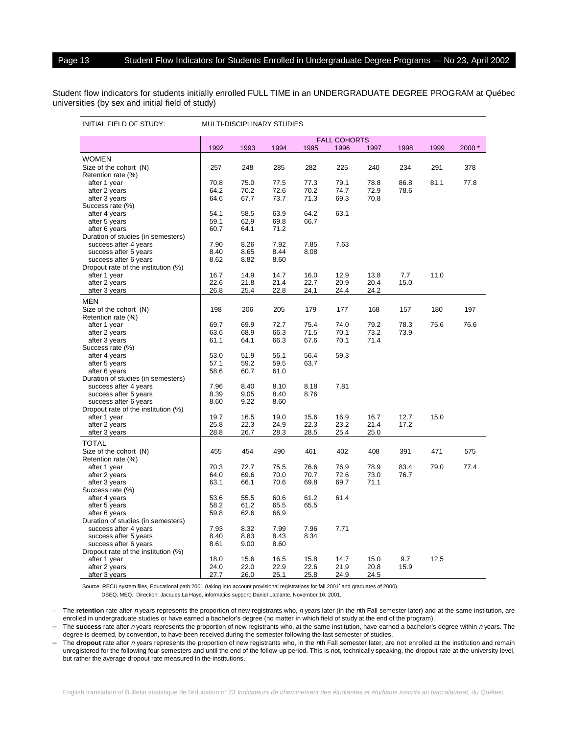| INITIAL FIELD OF STUDY:                                     | <b>MULTI-DISCIPLINARY STUDIES</b> |              |              |      |                     |      |      |      |       |
|-------------------------------------------------------------|-----------------------------------|--------------|--------------|------|---------------------|------|------|------|-------|
|                                                             |                                   |              |              |      | <b>FALL COHORTS</b> |      |      |      |       |
|                                                             | 1992                              | 1993         | 1994         | 1995 | 1996                | 1997 | 1998 | 1999 | 2000* |
| <b>WOMEN</b>                                                |                                   |              |              |      |                     |      |      |      |       |
| Size of the cohort (N)                                      | 257                               | 248          | 285          | 282  | 225                 | 240  | 234  | 291  | 378   |
| Retention rate (%)                                          |                                   |              |              |      |                     |      |      |      |       |
| after 1 year                                                | 70.8                              | 75.0         | 77.5         | 77.3 | 79.1                | 78.8 | 86.8 | 81.1 | 77.8  |
| after 2 years                                               | 64.2                              | 70.2         | 72.6         | 70.2 | 74.7                | 72.9 | 78.6 |      |       |
| after 3 years<br>Success rate (%)                           | 64.6                              | 67.7         | 73.7         | 71.3 | 69.3                | 70.8 |      |      |       |
| after 4 years                                               | 54.1                              | 58.5         | 63.9         | 64.2 | 63.1                |      |      |      |       |
| after 5 years                                               | 59.1                              | 62.9         | 69.8         | 66.7 |                     |      |      |      |       |
| after 6 years                                               | 60.7                              | 64.1         | 71.2         |      |                     |      |      |      |       |
| Duration of studies (in semesters)                          |                                   |              |              |      |                     |      |      |      |       |
| success after 4 years                                       | 7.90                              | 8.26         | 7.92         | 7.85 | 7.63                |      |      |      |       |
| success after 5 years                                       | 8.40                              | 8.65         | 8.44         | 8.08 |                     |      |      |      |       |
| success after 6 years                                       | 8.62                              | 8.82         | 8.60         |      |                     |      |      |      |       |
| Dropout rate of the institution (%)                         |                                   |              |              |      |                     |      |      |      |       |
| after 1 year                                                | 16.7                              | 14.9         | 14.7         | 16.0 | 12.9                | 13.8 | 7.7  | 11.0 |       |
| after 2 years                                               | 22.6                              | 21.8         | 21.4         | 22.7 | 20.9                | 20.4 | 15.0 |      |       |
| after 3 years                                               | 26.8                              | 25.4         | 22.8         | 24.1 | 24.4                | 24.2 |      |      |       |
| MEN                                                         |                                   |              |              |      |                     |      |      |      |       |
| Size of the cohort (N)                                      | 198                               | 206          | 205          | 179  | 177                 | 168  | 157  | 180  | 197   |
| Retention rate (%)                                          |                                   |              |              |      |                     |      |      |      |       |
| after 1 year                                                | 69.7                              | 69.9         | 72.7         | 75.4 | 74.0                | 79.2 | 78.3 | 75.6 | 76.6  |
| after 2 years                                               | 63.6                              | 68.9         | 66.3         | 71.5 | 70.1                | 73.2 | 73.9 |      |       |
| after 3 years                                               | 61.1                              | 64.1         | 66.3         | 67.6 | 70.1                | 71.4 |      |      |       |
| Success rate (%)                                            |                                   |              |              |      |                     |      |      |      |       |
| after 4 years                                               | 53.0                              | 51.9         | 56.1         | 56.4 | 59.3                |      |      |      |       |
| after 5 years<br>after 6 years                              | 57.1<br>58.6                      | 59.2<br>60.7 | 59.5<br>61.0 | 63.7 |                     |      |      |      |       |
| Duration of studies (in semesters)                          |                                   |              |              |      |                     |      |      |      |       |
| success after 4 years                                       | 7.96                              | 8.40         | 8.10         | 8.18 | 7.81                |      |      |      |       |
| success after 5 years                                       | 8.39                              | 9.05         | 8.40         | 8.76 |                     |      |      |      |       |
| success after 6 years                                       | 8.60                              | 9.22         | 8.60         |      |                     |      |      |      |       |
| Dropout rate of the institution (%)                         |                                   |              |              |      |                     |      |      |      |       |
| after 1 year                                                | 19.7                              | 16.5         | 19.0         | 15.6 | 16.9                | 16.7 | 12.7 | 15.0 |       |
| after 2 years                                               | 25.8                              | 22.3         | 24.9         | 22.3 | 23.2                | 21.4 | 17.2 |      |       |
| after 3 years                                               | 28.8                              | 26.7         | 28.3         | 28.5 | 25.4                | 25.0 |      |      |       |
| <b>TOTAL</b>                                                |                                   |              |              |      |                     |      |      |      |       |
| Size of the cohort (N)                                      | 455                               | 454          | 490          | 461  | 402                 | 408  | 391  | 471  | 575   |
| Retention rate (%)                                          |                                   |              |              |      |                     |      |      |      |       |
| after 1 year                                                | 70.3                              | 72.7         | 75.5         | 76.6 | 76.9                | 78.9 | 83.4 | 79.0 | 77.4  |
| after 2 years                                               | 64.0                              | 69.6         | 70.0         | 70.7 | 72.6                | 73.0 | 76.7 |      |       |
| after 3 years                                               | 63.1                              | 66.1         | 70.6         | 69.8 | 69.7                | 71.1 |      |      |       |
| Success rate (%)                                            |                                   |              |              |      |                     |      |      |      |       |
| after 4 years                                               | 53.6                              | 55.5         | 60.6         | 61.2 | 61.4                |      |      |      |       |
| after 5 years                                               | 58.2                              | 61.2         | 65.5         | 65.5 |                     |      |      |      |       |
| after 6 years                                               | 59.8                              | 62.6         | 66.9         |      |                     |      |      |      |       |
| Duration of studies (in semesters)<br>success after 4 years | 7.93                              | 8.32         | 7.99         | 7.96 | 7.71                |      |      |      |       |
| success after 5 years                                       | 8.40                              | 8.83         | 8.43         | 8.34 |                     |      |      |      |       |
| success after 6 years                                       | 8.61                              | 9.00         | 8.60         |      |                     |      |      |      |       |
| Dropout rate of the institution (%)                         |                                   |              |              |      |                     |      |      |      |       |
| after 1 year                                                | 18.0                              | 15.6         | 16.5         | 15.8 | 14.7                | 15.0 | 9.7  | 12.5 |       |
| after 2 years                                               | 24.0                              | 22.0         | 22.9         | 22.6 | 21.9                | 20.8 | 15.9 |      |       |
| after 3 years                                               | 27.7                              | 26.0         | 25.1         | 25.8 | 24.9                | 24.5 |      |      |       |

Source: RECU system files, Educational path 2001 (taking into account provisional registrations for fall 2001**\*** and graduates of 2000).

DSEQ, MEQ. Direction: Jacques La Haye, informatics support: Daniel Laplante. November 16, 2001.

– The **retention** rate after <sup>n</sup> years represents the proportion of new registrants who, <sup>n</sup> years later (in the nth Fall semester later) and at the same institution, are enrolled in undergraduate studies or have earned a bachelor's degree (no matter in which field of study at the end of the program).

The **success** rate after n years represents the proportion of new registrants who, at the same institution, have earned a bachelor's degree within n years. The degree is deemed, by convention, to have been received during the semester following the last semester of studies.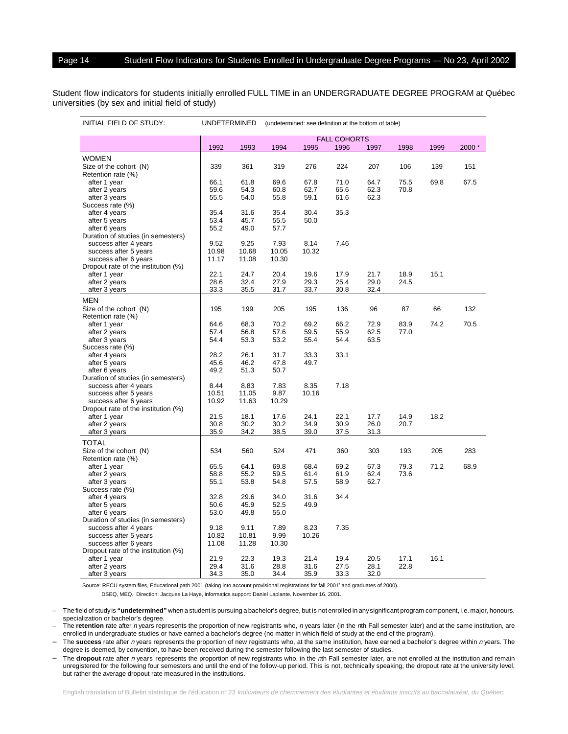| INITIAL FIELD OF STUDY:                                      | <b>UNDETERMINED</b> |              | (undetermined: see definition at the bottom of table) |              |                     |              |      |      |       |  |
|--------------------------------------------------------------|---------------------|--------------|-------------------------------------------------------|--------------|---------------------|--------------|------|------|-------|--|
|                                                              |                     |              |                                                       |              | <b>FALL COHORTS</b> |              |      |      |       |  |
|                                                              | 1992                | 1993         | 1994                                                  | 1995         | 1996                | 1997         | 1998 | 1999 | 2000* |  |
| <b>WOMEN</b>                                                 |                     |              |                                                       |              |                     |              |      |      |       |  |
| Size of the cohort (N)                                       | 339                 | 361          | 319                                                   | 276          | 224                 | 207          | 106  | 139  | 151   |  |
| Retention rate (%)                                           |                     |              |                                                       |              |                     |              |      |      |       |  |
| after 1 year                                                 | 66.1                | 61.8         | 69.6                                                  | 67.8         | 71.0                | 64.7         | 75.5 | 69.8 | 67.5  |  |
| after 2 years                                                | 59.6                | 54.3         | 60.8                                                  | 62.7         | 65.6                | 62.3         | 70.8 |      |       |  |
| after 3 years                                                | 55.5                | 54.0         | 55.8                                                  | 59.1         | 61.6                | 62.3         |      |      |       |  |
| Success rate (%)<br>after 4 years                            | 35.4                | 31.6         | 35.4                                                  | 30.4         | 35.3                |              |      |      |       |  |
| after 5 years                                                | 53.4                | 45.7         | 55.5                                                  | 50.0         |                     |              |      |      |       |  |
| after 6 years                                                | 55.2                | 49.0         | 57.7                                                  |              |                     |              |      |      |       |  |
| Duration of studies (in semesters)                           |                     |              |                                                       |              |                     |              |      |      |       |  |
| success after 4 years                                        | 9.52                | 9.25         | 7.93                                                  | 8.14         | 7.46                |              |      |      |       |  |
| success after 5 years                                        | 10.98               | 10.68        | 10.05                                                 | 10.32        |                     |              |      |      |       |  |
| success after 6 years                                        | 11.17               | 11.08        | 10.30                                                 |              |                     |              |      |      |       |  |
| Dropout rate of the institution (%)                          | 22.1                | 24.7         | 20.4                                                  | 19.6         | 17.9                | 21.7         | 18.9 | 15.1 |       |  |
| after 1 year<br>after 2 years                                | 28.6                | 32.4         | 27.9                                                  | 29.3         | 25.4                | 29.0         | 24.5 |      |       |  |
| after 3 years                                                | 33.3                | 35.5         | 31.7                                                  | 33.7         | 30.8                | 32.4         |      |      |       |  |
|                                                              |                     |              |                                                       |              |                     |              |      |      |       |  |
| MEN                                                          | 195                 | 199          | 205                                                   | 195          | 136                 | 96           | 87   | 66   | 132   |  |
| Size of the cohort (N)<br>Retention rate (%)                 |                     |              |                                                       |              |                     |              |      |      |       |  |
| after 1 year                                                 | 64.6                | 68.3         | 70.2                                                  | 69.2         | 66.2                | 72.9         | 83.9 | 74.2 | 70.5  |  |
| after 2 years                                                | 57.4                | 56.8         | 57.6                                                  | 59.5         | 55.9                | 62.5         | 77.0 |      |       |  |
| after 3 years                                                | 54.4                | 53.3         | 53.2                                                  | 55.4         | 54.4                | 63.5         |      |      |       |  |
| Success rate (%)                                             |                     |              |                                                       |              |                     |              |      |      |       |  |
| after 4 years                                                | 28.2                | 26.1         | 31.7                                                  | 33.3         | 33.1                |              |      |      |       |  |
| after 5 years                                                | 45.6                | 46.2         | 47.8                                                  | 49.7         |                     |              |      |      |       |  |
| after 6 years                                                | 49.2                | 51.3         | 50.7                                                  |              |                     |              |      |      |       |  |
| Duration of studies (in semesters)<br>success after 4 years  | 8.44                | 8.83         | 7.83                                                  | 8.35         | 7.18                |              |      |      |       |  |
| success after 5 years                                        | 10.51               | 11.05        | 9.87                                                  | 10.16        |                     |              |      |      |       |  |
| success after 6 years                                        | 10.92               | 11.63        | 10.29                                                 |              |                     |              |      |      |       |  |
| Dropout rate of the institution (%)                          |                     |              |                                                       |              |                     |              |      |      |       |  |
| after 1 year                                                 | 21.5                | 18.1         | 17.6                                                  | 24.1         | 22.1                | 17.7         | 14.9 | 18.2 |       |  |
| after 2 years                                                | 30.8                | 30.2         | 30.2                                                  | 34.9         | 30.9                | 26.0         | 20.7 |      |       |  |
| after 3 years                                                | 35.9                | 34.2         | 38.5                                                  | 39.0         | 37.5                | 31.3         |      |      |       |  |
| <b>TOTAL</b>                                                 |                     |              |                                                       |              |                     |              |      |      |       |  |
| Size of the cohort (N)                                       | 534                 | 560          | 524                                                   | 471          | 360                 | 303          | 193  | 205  | 283   |  |
| Retention rate (%)                                           |                     |              |                                                       |              |                     |              |      |      |       |  |
| after 1 year                                                 | 65.5                | 64.1         | 69.8                                                  | 68.4         | 69.2                | 67.3         | 79.3 | 71.2 | 68.9  |  |
| after 2 years<br>after 3 years                               | 58.8<br>55.1        | 55.2<br>53.8 | 59.5<br>54.8                                          | 61.4<br>57.5 | 61.9<br>58.9        | 62.4<br>62.7 | 73.6 |      |       |  |
| Success rate (%)                                             |                     |              |                                                       |              |                     |              |      |      |       |  |
| after 4 years                                                | 32.8                | 29.6         | 34.0                                                  | 31.6         | 34.4                |              |      |      |       |  |
| after 5 years                                                | 50.6                | 45.9         | 52.5                                                  | 49.9         |                     |              |      |      |       |  |
| after 6 years                                                | 53.0                | 49.8         | 55.0                                                  |              |                     |              |      |      |       |  |
| Duration of studies (in semesters)                           |                     |              |                                                       |              |                     |              |      |      |       |  |
| success after 4 years                                        | 9.18                | 9.11         | 7.89                                                  | 8.23         | 7.35                |              |      |      |       |  |
| success after 5 years                                        | 10.82               | 10.81        | 9.99                                                  | 10.26        |                     |              |      |      |       |  |
| success after 6 years<br>Dropout rate of the institution (%) | 11.08               | 11.28        | 10.30                                                 |              |                     |              |      |      |       |  |
| after 1 year                                                 | 21.9                | 22.3         | 19.3                                                  | 21.4         | 19.4                | 20.5         | 17.1 | 16.1 |       |  |
| after 2 years                                                | 29.4                | 31.6         | 28.8                                                  | 31.6         | 27.5                | 28.1         | 22.8 |      |       |  |
| after 3 years                                                | 34.3                | 35.0         | 34.4                                                  | 35.9         | 33.3                | 32.0         |      |      |       |  |

Source: RECU system files, Educational path 2001 (taking into account provisional registrations for fall 2001**\*** and graduates of 2000).

DSEQ, MEQ. Direction: Jacques La Haye, informatics support: Daniel Laplante. November 16, 2001.

– The field of study is **"undetermined"** when a student is pursuing a bachelor's degree, but is not enrolled in any significant program component, i.e. major, honours, specialization or bachelor's degree.

The retention rate after n years represents the proportion of new registrants who, n years later (in the nth Fall semester later) and at the same institution, are enrolled in undergraduate studies or have earned a bachelor's degree (no matter in which field of study at the end of the program).

The success rate after n years represents the proportion of new registrants who, at the same institution, have earned a bachelor's degree within n years. The degree is deemed, by convention, to have been received during the semester following the last semester of studies.

– The **dropout** rate after <sup>n</sup> years represents the proportion of new registrants who, in the nth Fall semester later, are not enrolled at the institution and remain unregistered for the following four semesters and until the end of the follow-up period. This is not, technically speaking, the dropout rate at the university level, but rather the average dropout rate measured in the institutions.

English translation of Bulletin statistique de l'éducation nº 23 Indicateurs de cheminement des étudiantes et étudiants inscrits au baccalauréat, du Québec.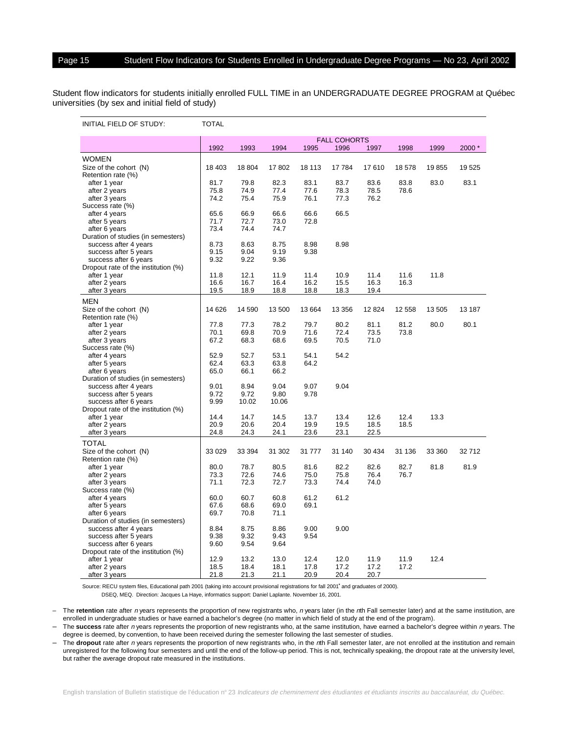### Page 15 Student Flow Indicators for Students Enrolled in Undergraduate Degree Programs - No 23, April 2002

Student flow indicators for students initially enrolled FULL TIME in an UNDERGRADUATE DEGREE PROGRAM at Québec universities (by sex and initial field of study)

| INITIAL FIELD OF STUDY:                             | <b>TOTAL</b>        |        |        |         |        |         |        |        |        |
|-----------------------------------------------------|---------------------|--------|--------|---------|--------|---------|--------|--------|--------|
|                                                     | <b>FALL COHORTS</b> |        |        |         |        |         |        |        |        |
|                                                     | 1992                | 1993   | 1994   | 1995    | 1996   | 1997    | 1998   | 1999   | 2000*  |
| <b>WOMEN</b>                                        |                     |        |        |         |        |         |        |        |        |
| Size of the cohort (N)                              | 18 403              | 18 804 | 17802  | 18 113  | 17784  | 17610   | 18 578 | 19855  | 19 525 |
| Retention rate (%)                                  |                     |        |        |         |        |         |        |        |        |
| after 1 year                                        | 81.7                | 79.8   | 82.3   | 83.1    | 83.7   | 83.6    | 83.8   | 83.0   | 83.1   |
| after 2 years                                       | 75.8                | 74.9   | 77.4   | 77.6    | 78.3   | 78.5    | 78.6   |        |        |
| after 3 years                                       | 74.2                | 75.4   | 75.9   | 76.1    | 77.3   | 76.2    |        |        |        |
| Success rate (%)                                    |                     |        |        |         |        |         |        |        |        |
| after 4 years                                       | 65.6                | 66.9   | 66.6   | 66.6    | 66.5   |         |        |        |        |
| after 5 years                                       | 71.7                | 72.7   | 73.0   | 72.8    |        |         |        |        |        |
| after 6 years                                       | 73.4                | 74.4   | 74.7   |         |        |         |        |        |        |
| Duration of studies (in semesters)                  |                     |        |        |         |        |         |        |        |        |
| success after 4 years                               | 8.73                | 8.63   | 8.75   | 8.98    | 8.98   |         |        |        |        |
| success after 5 years                               | 9.15                | 9.04   | 9.19   | 9.38    |        |         |        |        |        |
| success after 6 years                               | 9.32                | 9.22   | 9.36   |         |        |         |        |        |        |
| Dropout rate of the institution (%)                 |                     |        |        |         |        |         |        |        |        |
| after 1 year                                        | 11.8                | 12.1   | 11.9   | 11.4    | 10.9   | 11.4    | 11.6   | 11.8   |        |
| after 2 years                                       | 16.6                | 16.7   | 16.4   | 16.2    | 15.5   | 16.3    | 16.3   |        |        |
| after 3 years                                       | 19.5                | 18.9   | 18.8   | 18.8    | 18.3   | 19.4    |        |        |        |
| <b>MEN</b>                                          |                     |        |        |         |        |         |        |        |        |
| Size of the cohort (N)                              | 14 6 26             | 14 590 | 13 500 | 13 6 64 | 13 356 | 12 824  | 12 558 | 13 505 | 13 187 |
| Retention rate (%)                                  |                     |        |        |         |        |         |        |        |        |
| after 1 year                                        | 77.8                | 77.3   | 78.2   | 79.7    | 80.2   | 81.1    | 81.2   | 80.0   | 80.1   |
| after 2 years                                       | 70.1                | 69.8   | 70.9   | 71.6    | 72.4   | 73.5    | 73.8   |        |        |
| after 3 years                                       | 67.2                | 68.3   | 68.6   | 69.5    | 70.5   | 71.0    |        |        |        |
| Success rate (%)                                    |                     |        |        |         |        |         |        |        |        |
| after 4 years                                       | 52.9                | 52.7   | 53.1   | 54.1    | 54.2   |         |        |        |        |
| after 5 years                                       | 62.4                | 63.3   | 63.8   | 64.2    |        |         |        |        |        |
| after 6 years                                       | 65.0                | 66.1   | 66.2   |         |        |         |        |        |        |
| Duration of studies (in semesters)                  |                     |        |        |         |        |         |        |        |        |
| success after 4 years                               | 9.01                | 8.94   | 9.04   | 9.07    | 9.04   |         |        |        |        |
| success after 5 years                               | 9.72                | 9.72   | 9.80   | 9.78    |        |         |        |        |        |
| success after 6 years                               | 9.99                | 10.02  | 10.06  |         |        |         |        |        |        |
| Dropout rate of the institution (%)                 |                     |        |        |         |        |         |        |        |        |
| after 1 year                                        | 14.4                | 14.7   | 14.5   | 13.7    | 13.4   | 12.6    | 12.4   | 13.3   |        |
| after 2 years                                       | 20.9                | 20.6   | 20.4   | 19.9    | 19.5   | 18.5    | 18.5   |        |        |
| after 3 years                                       | 24.8                | 24.3   | 24.1   | 23.6    | 23.1   | 22.5    |        |        |        |
| <b>TOTAL</b>                                        |                     |        |        |         |        |         |        |        |        |
|                                                     |                     |        |        |         |        |         |        |        |        |
| Size of the cohort (N)                              | 33 0 29             | 33 394 | 31 302 | 31777   | 31 140 | 30 4 34 | 31 136 | 33 360 | 32712  |
| Retention rate (%)                                  |                     |        |        |         |        |         |        |        |        |
| after 1 year                                        | 80.0                | 78.7   | 80.5   | 81.6    | 82.2   | 82.6    | 82.7   | 81.8   | 81.9   |
| after 2 years                                       | 73.3                | 72.6   | 74.6   | 75.0    | 75.8   | 76.4    | 76.7   |        |        |
| after 3 years                                       | 71.1                | 72.3   | 72.7   | 73.3    | 74.4   | 74.0    |        |        |        |
| Success rate (%)                                    | 60.0                | 60.7   | 60.8   | 61.2    | 61.2   |         |        |        |        |
| after 4 years                                       | 67.6                | 68.6   | 69.0   | 69.1    |        |         |        |        |        |
| after 5 years                                       |                     |        |        |         |        |         |        |        |        |
| after 6 years<br>Duration of studies (in semesters) | 69.7                | 70.8   | 71.1   |         |        |         |        |        |        |
|                                                     | 8.84                | 8.75   | 8.86   | 9.00    | 9.00   |         |        |        |        |
| success after 4 years<br>success after 5 years      | 9.38                | 9.32   | 9.43   | 9.54    |        |         |        |        |        |
| success after 6 years                               | 9.60                | 9.54   | 9.64   |         |        |         |        |        |        |
| Dropout rate of the institution (%)                 |                     |        |        |         |        |         |        |        |        |
| after 1 year                                        | 12.9                | 13.2   | 13.0   | 12.4    | 12.0   | 11.9    | 11.9   | 12.4   |        |
| after 2 years                                       | 18.5                | 18.4   | 18.1   | 17.8    | 17.2   | 17.2    | 17.2   |        |        |
| after 3 years                                       | 21.8                | 21.3   | 21.1   | 20.9    | 20.4   | 20.7    |        |        |        |
|                                                     |                     |        |        |         |        |         |        |        |        |

Source: RECU system files, Educational path 2001 (taking into account provisional registrations for fall 2001**\*** and graduates of 2000).

DSEQ, MEQ. Direction: Jacques La Haye, informatics support: Daniel Laplante. November 16, 2001.

– The **retention** rate after <sup>n</sup> years represents the proportion of new registrants who, <sup>n</sup> years later (in the nth Fall semester later) and at the same institution, are enrolled in undergraduate studies or have earned a bachelor's degree (no matter in which field of study at the end of the program).

The **success** rate after n years represents the proportion of new registrants who, at the same institution, have earned a bachelor's degree within n years. The degree is deemed, by convention, to have been received during the semester following the last semester of studies.